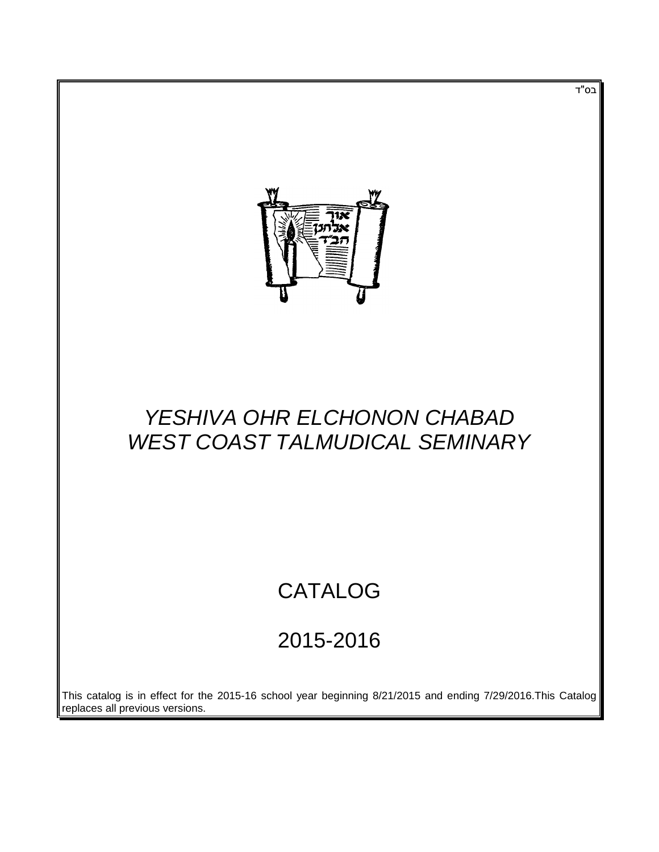

# *YESHIVA OHR ELCHONON CHABAD WEST COAST TALMUDICAL SEMINARY*

# CATALOG

# 2015-2016

This catalog is in effect for the 2015-16 school year beginning 8/21/2015 and ending 7/29/2016.This Catalog replaces all previous versions.

בס"ד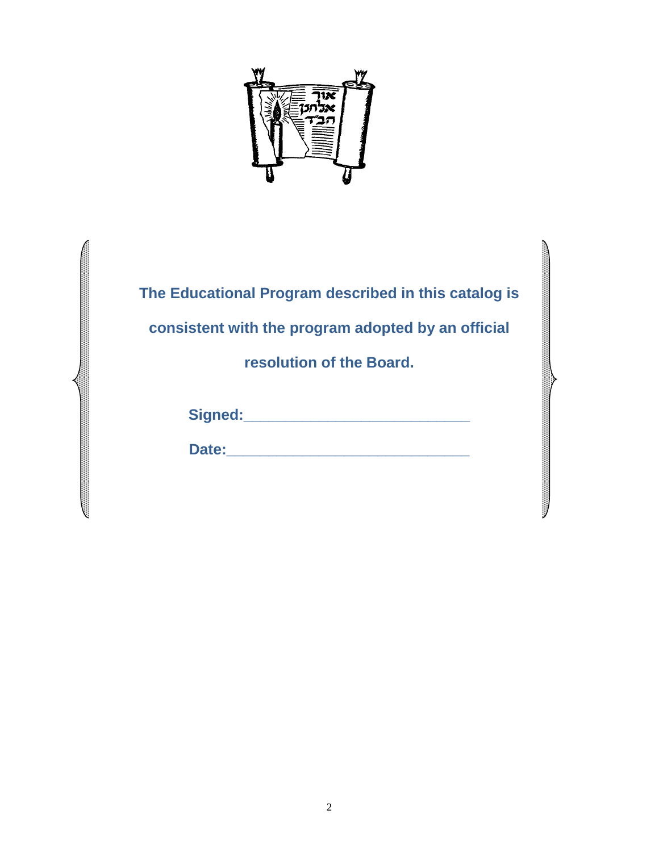

**The Educational Program described in this catalog is consistent with the program adopted by an official resolution of the Board.**

|--|

 $\sim$ 

Date: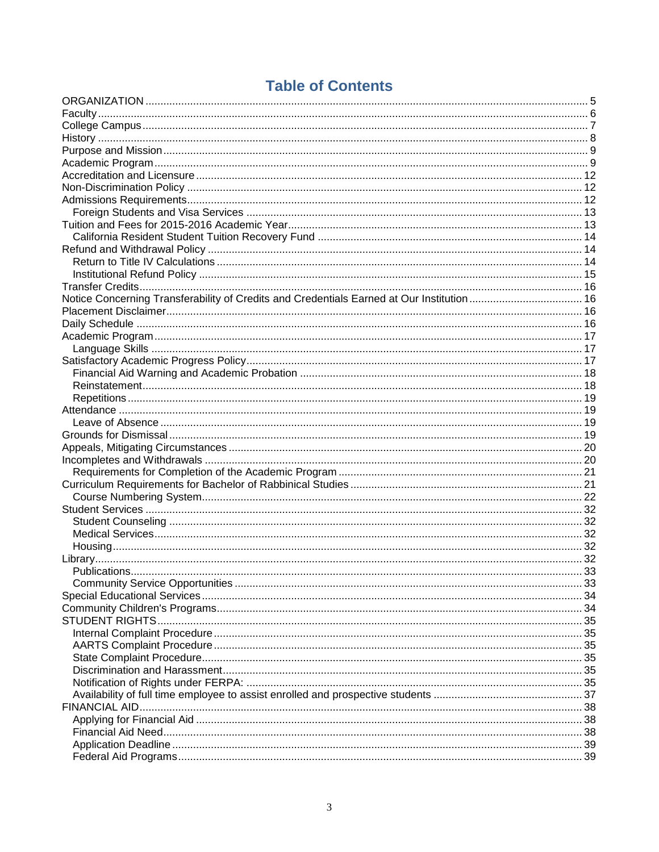# **Table of Contents**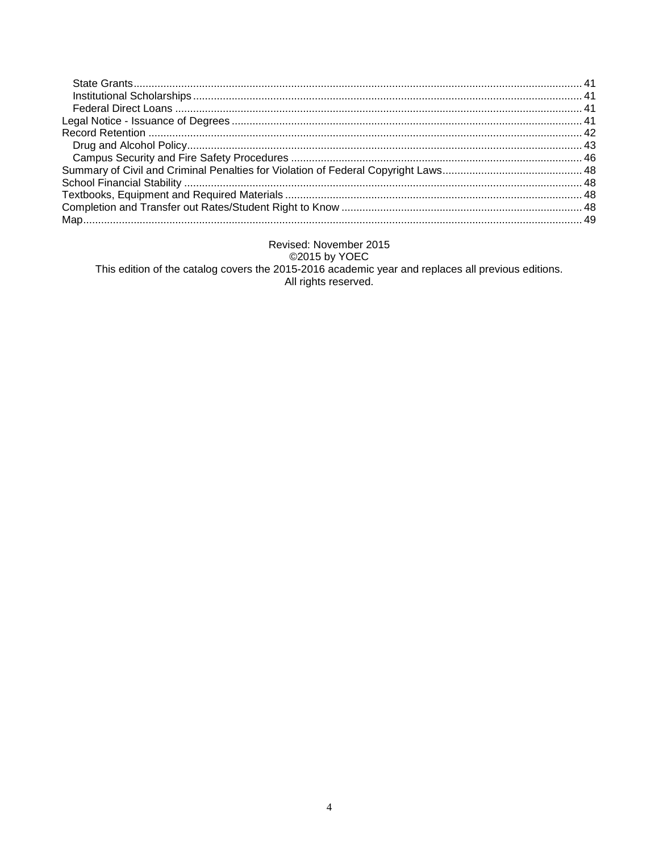# Revised: November 2015 This edition of the catalog covers the 2015-2016 academic year and replaces all previous editions.<br>All rights reserved.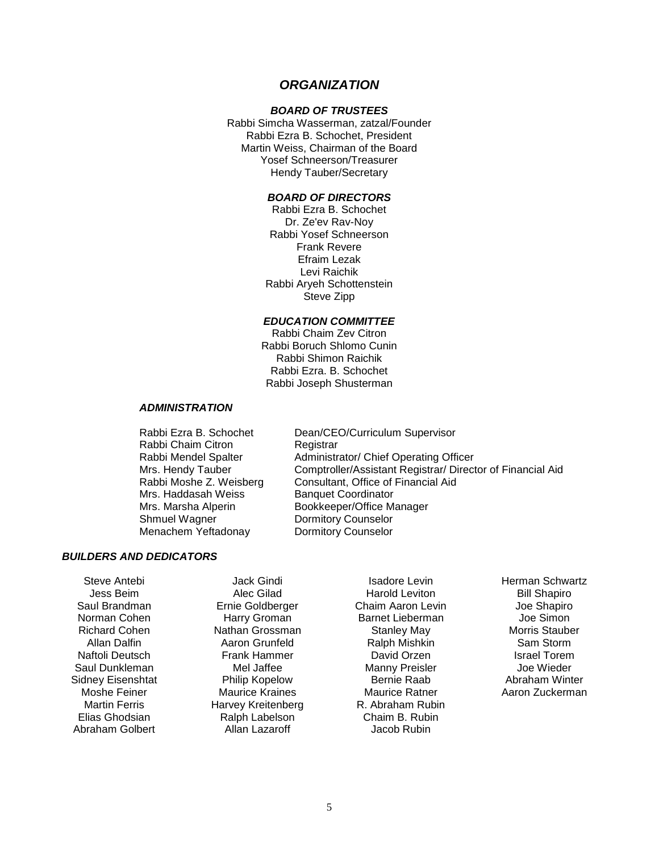# *ORGANIZATION*

#### *BOARD OF TRUSTEES*

<span id="page-4-0"></span>Rabbi Simcha Wasserman, zatzal/Founder Rabbi Ezra B. Schochet, President Martin Weiss, Chairman of the Board Yosef Schneerson/Treasurer Hendy Tauber/Secretary

#### *BOARD OF DIRECTORS*

Rabbi Ezra B. Schochet Dr. Ze'ev Rav-Noy Rabbi Yosef Schneerson Frank Revere Efraim Lezak Levi Raichik Rabbi Aryeh Schottenstein Steve Zipp

#### *EDUCATION COMMITTEE*

Rabbi Chaim Zev Citron Rabbi Boruch Shlomo Cunin Rabbi Shimon Raichik Rabbi Ezra. B. Schochet Rabbi Joseph Shusterman

#### *ADMINISTRATION*

Rabbi Chaim Citron Registrar Mrs. Haddasah Weiss Banquet Coordinator Shmuel Wagner **Dormitory Counselor** Menachem Yeftadonay Dormitory Counselor

Rabbi Ezra B. Schochet Dean/CEO/Curriculum Supervisor Rabbi Mendel Spalter **Administrator/ Chief Operating Officer** Mrs. Hendy Tauber Comptroller/Assistant Registrar/ Director of Financial Aid<br>Rabbi Moshe Z. Weisberg Consultant. Office of Financial Aid Consultant, Office of Financial Aid Mrs. Marsha Alperin Bookkeeper/Office Manager

# *BUILDERS AND DEDICATORS*

Steve Antebi Jess Beim Saul Brandman Norman Cohen Richard Cohen Allan Dalfin Naftoli Deutsch Saul Dunkleman Sidney Eisenshtat Moshe Feiner Martin Ferris Elias Ghodsian Abraham Golbert

Jack Gindi Alec Gilad Ernie Goldberger Harry Groman Nathan Grossman Aaron Grunfeld Frank Hammer Mel Jaffee Philip Kopelow Maurice Kraines Harvey Kreitenberg Ralph Labelson Allan Lazaroff

Isadore Levin Harold Leviton Chaim Aaron Levin Barnet Lieberman Stanley May Ralph Mishkin David Orzen Manny Preisler Bernie Raab Maurice Ratner R. Abraham Rubin Chaim B. Rubin Jacob Rubin

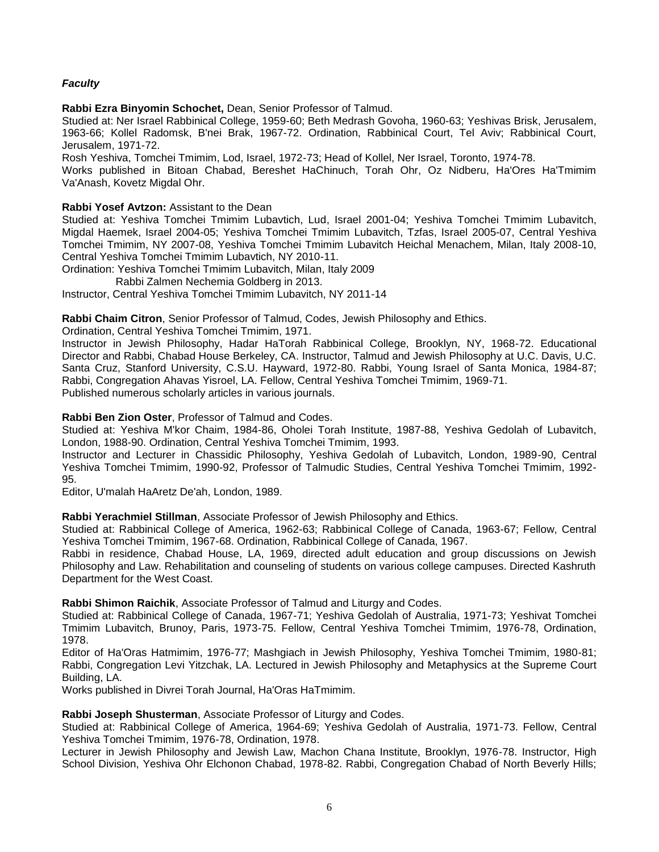# <span id="page-5-0"></span>*Faculty*

**Rabbi Ezra Binyomin Schochet,** Dean, Senior Professor of Talmud.

Studied at: Ner Israel Rabbinical College, 1959-60; Beth Medrash Govoha, 1960-63; Yeshivas Brisk, Jerusalem, 1963-66; Kollel Radomsk, B'nei Brak, 1967-72. Ordination, Rabbinical Court, Tel Aviv; Rabbinical Court, Jerusalem, 1971-72.

Rosh Yeshiva, Tomchei Tmimim, Lod, Israel, 1972-73; Head of Kollel, Ner Israel, Toronto, 1974-78.

Works published in Bitoan Chabad, Bereshet HaChinuch, Torah Ohr, Oz Nidberu, Ha'Ores Ha'Tmimim Va'Anash, Kovetz Migdal Ohr.

# **Rabbi Yosef Avtzon:** Assistant to the Dean

Studied at: Yeshiva Tomchei Tmimim Lubavtich, Lud, Israel 2001-04; Yeshiva Tomchei Tmimim Lubavitch, Migdal Haemek, Israel 2004-05; Yeshiva Tomchei Tmimim Lubavitch, Tzfas, Israel 2005-07, Central Yeshiva Tomchei Tmimim, NY 2007-08, Yeshiva Tomchei Tmimim Lubavitch Heichal Menachem, Milan, Italy 2008-10, Central Yeshiva Tomchei Tmimim Lubavtich, NY 2010-11.

Ordination: Yeshiva Tomchei Tmimim Lubavitch, Milan, Italy 2009

Rabbi Zalmen Nechemia Goldberg in 2013.

Instructor, Central Yeshiva Tomchei Tmimim Lubavitch, NY 2011-14

**Rabbi Chaim Citron**, Senior Professor of Talmud, Codes, Jewish Philosophy and Ethics.

Ordination, Central Yeshiva Tomchei Tmimim, 1971.

Instructor in Jewish Philosophy, Hadar HaTorah Rabbinical College, Brooklyn, NY, 1968-72. Educational Director and Rabbi, Chabad House Berkeley, CA. Instructor, Talmud and Jewish Philosophy at U.C. Davis, U.C. Santa Cruz, Stanford University, C.S.U. Hayward, 1972-80. Rabbi, Young Israel of Santa Monica, 1984-87; Rabbi, Congregation Ahavas Yisroel, LA. Fellow, Central Yeshiva Tomchei Tmimim, 1969-71. Published numerous scholarly articles in various journals.

# **Rabbi Ben Zion Oster**, Professor of Talmud and Codes.

Studied at: Yeshiva M'kor Chaim, 1984-86, Oholei Torah Institute, 1987-88, Yeshiva Gedolah of Lubavitch, London, 1988-90. Ordination, Central Yeshiva Tomchei Tmimim, 1993.

Instructor and Lecturer in Chassidic Philosophy, Yeshiva Gedolah of Lubavitch, London, 1989-90, Central Yeshiva Tomchei Tmimim, 1990-92, Professor of Talmudic Studies, Central Yeshiva Tomchei Tmimim, 1992- 95.

Editor, U'malah HaAretz De'ah, London, 1989.

**Rabbi Yerachmiel Stillman**, Associate Professor of Jewish Philosophy and Ethics.

Studied at: Rabbinical College of America, 1962-63; Rabbinical College of Canada, 1963-67; Fellow, Central Yeshiva Tomchei Tmimim, 1967-68. Ordination, Rabbinical College of Canada, 1967.

Rabbi in residence, Chabad House, LA, 1969, directed adult education and group discussions on Jewish Philosophy and Law. Rehabilitation and counseling of students on various college campuses. Directed Kashruth Department for the West Coast.

# **Rabbi Shimon Raichik**, Associate Professor of Talmud and Liturgy and Codes.

Studied at: Rabbinical College of Canada, 1967-71; Yeshiva Gedolah of Australia, 1971-73; Yeshivat Tomchei Tmimim Lubavitch, Brunoy, Paris, 1973-75. Fellow, Central Yeshiva Tomchei Tmimim, 1976-78, Ordination, 1978.

Editor of Ha'Oras Hatmimim, 1976-77; Mashgiach in Jewish Philosophy, Yeshiva Tomchei Tmimim, 1980-81; Rabbi, Congregation Levi Yitzchak, LA. Lectured in Jewish Philosophy and Metaphysics at the Supreme Court Building, LA.

Works published in Divrei Torah Journal, Ha'Oras HaTmimim.

# **Rabbi Joseph Shusterman**, Associate Professor of Liturgy and Codes.

Studied at: Rabbinical College of America, 1964-69; Yeshiva Gedolah of Australia, 1971-73. Fellow, Central Yeshiva Tomchei Tmimim, 1976-78, Ordination, 1978.

Lecturer in Jewish Philosophy and Jewish Law, Machon Chana Institute, Brooklyn, 1976-78. Instructor, High School Division, Yeshiva Ohr Elchonon Chabad, 1978-82. Rabbi, Congregation Chabad of North Beverly Hills;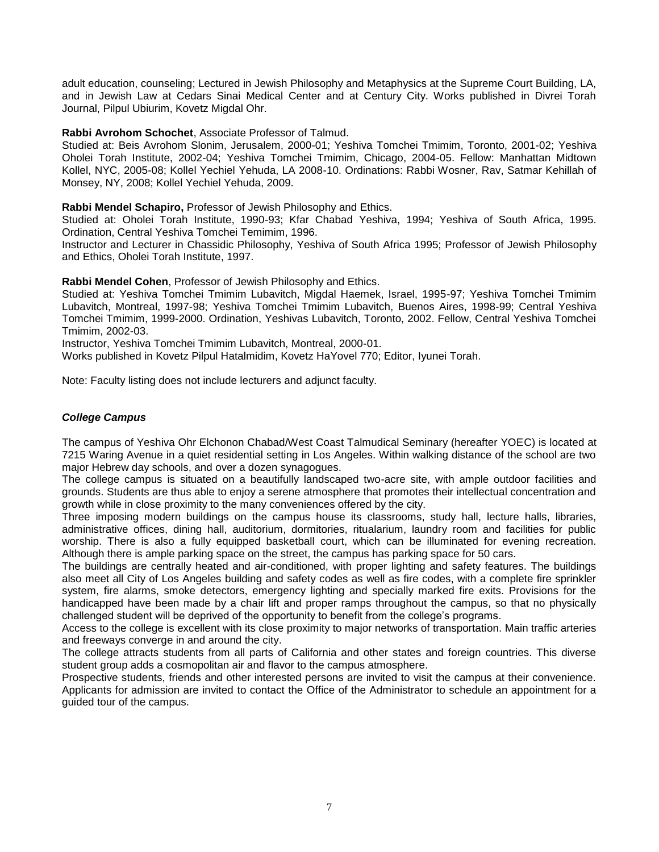adult education, counseling; Lectured in Jewish Philosophy and Metaphysics at the Supreme Court Building, LA, and in Jewish Law at Cedars Sinai Medical Center and at Century City. Works published in Divrei Torah Journal, Pilpul Ubiurim, Kovetz Migdal Ohr.

# **Rabbi Avrohom Schochet**, Associate Professor of Talmud.

Studied at: Beis Avrohom Slonim, Jerusalem, 2000-01; Yeshiva Tomchei Tmimim, Toronto, 2001-02; Yeshiva Oholei Torah Institute, 2002-04; Yeshiva Tomchei Tmimim, Chicago, 2004-05. Fellow: Manhattan Midtown Kollel, NYC, 2005-08; Kollel Yechiel Yehuda, LA 2008-10. Ordinations: Rabbi Wosner, Rav, Satmar Kehillah of Monsey, NY, 2008; Kollel Yechiel Yehuda, 2009.

# **Rabbi Mendel Schapiro,** Professor of Jewish Philosophy and Ethics.

Studied at: Oholei Torah Institute, 1990-93; Kfar Chabad Yeshiva, 1994; Yeshiva of South Africa, 1995. Ordination, Central Yeshiva Tomchei Temimim, 1996.

Instructor and Lecturer in Chassidic Philosophy, Yeshiva of South Africa 1995; Professor of Jewish Philosophy and Ethics, Oholei Torah Institute, 1997.

**Rabbi Mendel Cohen**, Professor of Jewish Philosophy and Ethics.

Studied at: Yeshiva Tomchei Tmimim Lubavitch, Migdal Haemek, Israel, 1995-97; Yeshiva Tomchei Tmimim Lubavitch, Montreal, 1997-98; Yeshiva Tomchei Tmimim Lubavitch, Buenos Aires, 1998-99; Central Yeshiva Tomchei Tmimim, 1999-2000. Ordination, Yeshivas Lubavitch, Toronto, 2002. Fellow, Central Yeshiva Tomchei Tmimim, 2002-03.

Instructor, Yeshiva Tomchei Tmimim Lubavitch, Montreal, 2000-01.

Works published in Kovetz Pilpul Hatalmidim, Kovetz HaYovel 770; Editor, Iyunei Torah.

Note: Faculty listing does not include lecturers and adjunct faculty.

# <span id="page-6-0"></span>*College Campus*

The campus of Yeshiva Ohr Elchonon Chabad/West Coast Talmudical Seminary (hereafter YOEC) is located at 7215 Waring Avenue in a quiet residential setting in Los Angeles. Within walking distance of the school are two major Hebrew day schools, and over a dozen synagogues.

The college campus is situated on a beautifully landscaped two-acre site, with ample outdoor facilities and grounds. Students are thus able to enjoy a serene atmosphere that promotes their intellectual concentration and growth while in close proximity to the many conveniences offered by the city.

Three imposing modern buildings on the campus house its classrooms, study hall, lecture halls, libraries, administrative offices, dining hall, auditorium, dormitories, ritualarium, laundry room and facilities for public worship. There is also a fully equipped basketball court, which can be illuminated for evening recreation. Although there is ample parking space on the street, the campus has parking space for 50 cars.

The buildings are centrally heated and air-conditioned, with proper lighting and safety features. The buildings also meet all City of Los Angeles building and safety codes as well as fire codes, with a complete fire sprinkler system, fire alarms, smoke detectors, emergency lighting and specially marked fire exits. Provisions for the handicapped have been made by a chair lift and proper ramps throughout the campus, so that no physically challenged student will be deprived of the opportunity to benefit from the college's programs.

Access to the college is excellent with its close proximity to major networks of transportation. Main traffic arteries and freeways converge in and around the city.

The college attracts students from all parts of California and other states and foreign countries. This diverse student group adds a cosmopolitan air and flavor to the campus atmosphere.

Prospective students, friends and other interested persons are invited to visit the campus at their convenience. Applicants for admission are invited to contact the Office of the Administrator to schedule an appointment for a guided tour of the campus.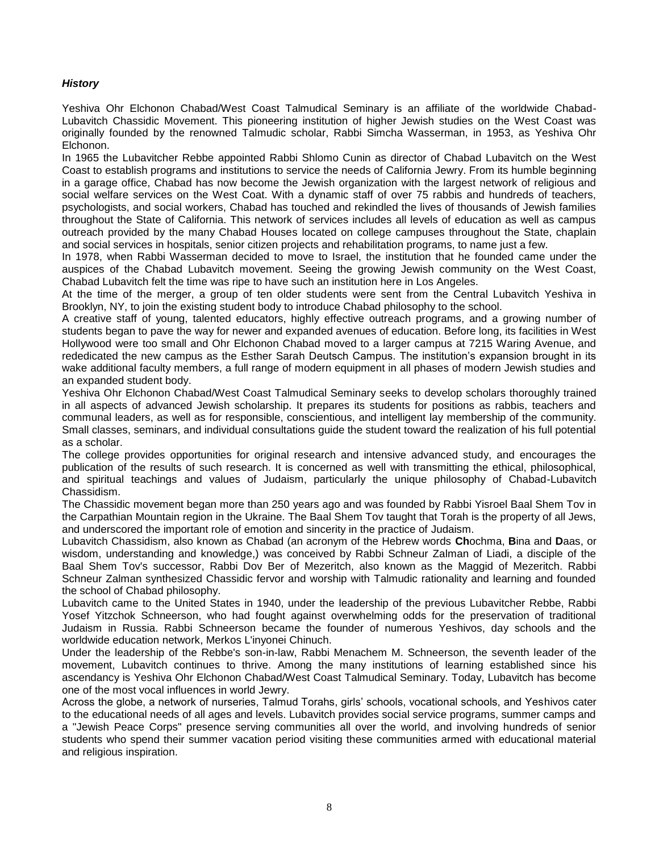# <span id="page-7-0"></span>*History*

Yeshiva Ohr Elchonon Chabad/West Coast Talmudical Seminary is an affiliate of the worldwide Chabad-Lubavitch Chassidic Movement. This pioneering institution of higher Jewish studies on the West Coast was originally founded by the renowned Talmudic scholar, Rabbi Simcha Wasserman, in 1953, as Yeshiva Ohr Elchonon.

In 1965 the Lubavitcher Rebbe appointed Rabbi Shlomo Cunin as director of Chabad Lubavitch on the West Coast to establish programs and institutions to service the needs of California Jewry. From its humble beginning in a garage office, Chabad has now become the Jewish organization with the largest network of religious and social welfare services on the West Coat. With a dynamic staff of over 75 rabbis and hundreds of teachers, psychologists, and social workers, Chabad has touched and rekindled the lives of thousands of Jewish families throughout the State of California. This network of services includes all levels of education as well as campus outreach provided by the many Chabad Houses located on college campuses throughout the State, chaplain and social services in hospitals, senior citizen projects and rehabilitation programs, to name just a few.

In 1978, when Rabbi Wasserman decided to move to Israel, the institution that he founded came under the auspices of the Chabad Lubavitch movement. Seeing the growing Jewish community on the West Coast, Chabad Lubavitch felt the time was ripe to have such an institution here in Los Angeles.

At the time of the merger, a group of ten older students were sent from the Central Lubavitch Yeshiva in Brooklyn, NY, to join the existing student body to introduce Chabad philosophy to the school.

A creative staff of young, talented educators, highly effective outreach programs, and a growing number of students began to pave the way for newer and expanded avenues of education. Before long, its facilities in West Hollywood were too small and Ohr Elchonon Chabad moved to a larger campus at 7215 Waring Avenue, and rededicated the new campus as the Esther Sarah Deutsch Campus. The institution's expansion brought in its wake additional faculty members, a full range of modern equipment in all phases of modern Jewish studies and an expanded student body.

Yeshiva Ohr Elchonon Chabad/West Coast Talmudical Seminary seeks to develop scholars thoroughly trained in all aspects of advanced Jewish scholarship. It prepares its students for positions as rabbis, teachers and communal leaders, as well as for responsible, conscientious, and intelligent lay membership of the community. Small classes, seminars, and individual consultations guide the student toward the realization of his full potential as a scholar.

The college provides opportunities for original research and intensive advanced study, and encourages the publication of the results of such research. It is concerned as well with transmitting the ethical, philosophical, and spiritual teachings and values of Judaism, particularly the unique philosophy of Chabad-Lubavitch Chassidism.

The Chassidic movement began more than 250 years ago and was founded by Rabbi Yisroel Baal Shem Tov in the Carpathian Mountain region in the Ukraine. The Baal Shem Tov taught that Torah is the property of all Jews, and underscored the important role of emotion and sincerity in the practice of Judaism.

Lubavitch Chassidism, also known as Chabad (an acronym of the Hebrew words **Ch**ochma, **B**ina and **D**aas, or wisdom, understanding and knowledge,) was conceived by Rabbi Schneur Zalman of Liadi, a disciple of the Baal Shem Tov's successor, Rabbi Dov Ber of Mezeritch, also known as the Maggid of Mezeritch. Rabbi Schneur Zalman synthesized Chassidic fervor and worship with Talmudic rationality and learning and founded the school of Chabad philosophy.

Lubavitch came to the United States in 1940, under the leadership of the previous Lubavitcher Rebbe, Rabbi Yosef Yitzchok Schneerson, who had fought against overwhelming odds for the preservation of traditional Judaism in Russia. Rabbi Schneerson became the founder of numerous Yeshivos, day schools and the worldwide education network, Merkos L'inyonei Chinuch.

Under the leadership of the Rebbe's son-in-law, Rabbi Menachem M. Schneerson, the seventh leader of the movement, Lubavitch continues to thrive. Among the many institutions of learning established since his ascendancy is Yeshiva Ohr Elchonon Chabad/West Coast Talmudical Seminary. Today, Lubavitch has become one of the most vocal influences in world Jewry.

Across the globe, a network of nurseries, Talmud Torahs, girls' schools, vocational schools, and Yeshivos cater to the educational needs of all ages and levels. Lubavitch provides social service programs, summer camps and a "Jewish Peace Corps" presence serving communities all over the world, and involving hundreds of senior students who spend their summer vacation period visiting these communities armed with educational material and religious inspiration.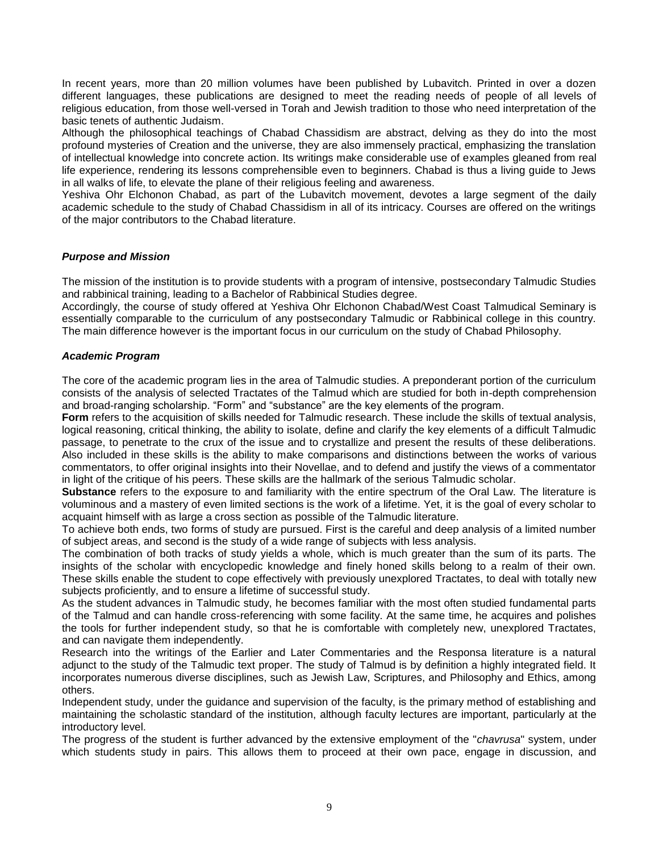In recent years, more than 20 million volumes have been published by Lubavitch. Printed in over a dozen different languages, these publications are designed to meet the reading needs of people of all levels of religious education, from those well-versed in Torah and Jewish tradition to those who need interpretation of the basic tenets of authentic Judaism.

Although the philosophical teachings of Chabad Chassidism are abstract, delving as they do into the most profound mysteries of Creation and the universe, they are also immensely practical, emphasizing the translation of intellectual knowledge into concrete action. Its writings make considerable use of examples gleaned from real life experience, rendering its lessons comprehensible even to beginners. Chabad is thus a living guide to Jews in all walks of life, to elevate the plane of their religious feeling and awareness.

Yeshiva Ohr Elchonon Chabad, as part of the Lubavitch movement, devotes a large segment of the daily academic schedule to the study of Chabad Chassidism in all of its intricacy. Courses are offered on the writings of the major contributors to the Chabad literature.

# <span id="page-8-0"></span>*Purpose and Mission*

The mission of the institution is to provide students with a program of intensive, postsecondary Talmudic Studies and rabbinical training, leading to a Bachelor of Rabbinical Studies degree.

Accordingly, the course of study offered at Yeshiva Ohr Elchonon Chabad/West Coast Talmudical Seminary is essentially comparable to the curriculum of any postsecondary Talmudic or Rabbinical college in this country. The main difference however is the important focus in our curriculum on the study of Chabad Philosophy.

# <span id="page-8-1"></span>*Academic Program*

The core of the academic program lies in the area of Talmudic studies. A preponderant portion of the curriculum consists of the analysis of selected Tractates of the Talmud which are studied for both in-depth comprehension and broad-ranging scholarship. "Form" and "substance" are the key elements of the program.

**Form** refers to the acquisition of skills needed for Talmudic research. These include the skills of textual analysis, logical reasoning, critical thinking, the ability to isolate, define and clarify the key elements of a difficult Talmudic passage, to penetrate to the crux of the issue and to crystallize and present the results of these deliberations. Also included in these skills is the ability to make comparisons and distinctions between the works of various commentators, to offer original insights into their Novellae, and to defend and justify the views of a commentator in light of the critique of his peers. These skills are the hallmark of the serious Talmudic scholar.

**Substance** refers to the exposure to and familiarity with the entire spectrum of the Oral Law. The literature is voluminous and a mastery of even limited sections is the work of a lifetime. Yet, it is the goal of every scholar to acquaint himself with as large a cross section as possible of the Talmudic literature.

To achieve both ends, two forms of study are pursued. First is the careful and deep analysis of a limited number of subject areas, and second is the study of a wide range of subjects with less analysis.

The combination of both tracks of study yields a whole, which is much greater than the sum of its parts. The insights of the scholar with encyclopedic knowledge and finely honed skills belong to a realm of their own. These skills enable the student to cope effectively with previously unexplored Tractates, to deal with totally new subjects proficiently, and to ensure a lifetime of successful study.

As the student advances in Talmudic study, he becomes familiar with the most often studied fundamental parts of the Talmud and can handle cross-referencing with some facility. At the same time, he acquires and polishes the tools for further independent study, so that he is comfortable with completely new, unexplored Tractates, and can navigate them independently.

Research into the writings of the Earlier and Later Commentaries and the Responsa literature is a natural adjunct to the study of the Talmudic text proper. The study of Talmud is by definition a highly integrated field. It incorporates numerous diverse disciplines, such as Jewish Law, Scriptures, and Philosophy and Ethics, among others.

Independent study, under the guidance and supervision of the faculty, is the primary method of establishing and maintaining the scholastic standard of the institution, although faculty lectures are important, particularly at the introductory level.

The progress of the student is further advanced by the extensive employment of the "*chavrusa*" system, under which students study in pairs. This allows them to proceed at their own pace, engage in discussion, and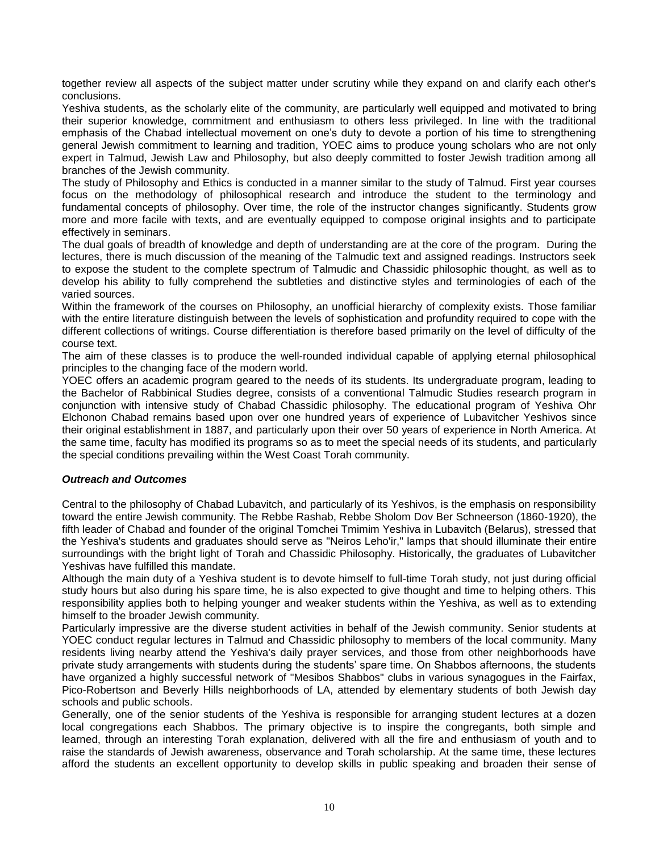together review all aspects of the subject matter under scrutiny while they expand on and clarify each other's conclusions.

Yeshiva students, as the scholarly elite of the community, are particularly well equipped and motivated to bring their superior knowledge, commitment and enthusiasm to others less privileged. In line with the traditional emphasis of the Chabad intellectual movement on one's duty to devote a portion of his time to strengthening general Jewish commitment to learning and tradition, YOEC aims to produce young scholars who are not only expert in Talmud, Jewish Law and Philosophy, but also deeply committed to foster Jewish tradition among all branches of the Jewish community.

The study of Philosophy and Ethics is conducted in a manner similar to the study of Talmud. First year courses focus on the methodology of philosophical research and introduce the student to the terminology and fundamental concepts of philosophy. Over time, the role of the instructor changes significantly. Students grow more and more facile with texts, and are eventually equipped to compose original insights and to participate effectively in seminars.

The dual goals of breadth of knowledge and depth of understanding are at the core of the program. During the lectures, there is much discussion of the meaning of the Talmudic text and assigned readings. Instructors seek to expose the student to the complete spectrum of Talmudic and Chassidic philosophic thought, as well as to develop his ability to fully comprehend the subtleties and distinctive styles and terminologies of each of the varied sources.

Within the framework of the courses on Philosophy, an unofficial hierarchy of complexity exists. Those familiar with the entire literature distinguish between the levels of sophistication and profundity required to cope with the different collections of writings. Course differentiation is therefore based primarily on the level of difficulty of the course text.

The aim of these classes is to produce the well-rounded individual capable of applying eternal philosophical principles to the changing face of the modern world.

YOEC offers an academic program geared to the needs of its students. Its undergraduate program, leading to the Bachelor of Rabbinical Studies degree, consists of a conventional Talmudic Studies research program in conjunction with intensive study of Chabad Chassidic philosophy. The educational program of Yeshiva Ohr Elchonon Chabad remains based upon over one hundred years of experience of Lubavitcher Yeshivos since their original establishment in 1887, and particularly upon their over 50 years of experience in North America. At the same time, faculty has modified its programs so as to meet the special needs of its students, and particularly the special conditions prevailing within the West Coast Torah community.

# *Outreach and Outcomes*

Central to the philosophy of Chabad Lubavitch, and particularly of its Yeshivos, is the emphasis on responsibility toward the entire Jewish community. The Rebbe Rashab, Rebbe Sholom Dov Ber Schneerson (1860-1920), the fifth leader of Chabad and founder of the original Tomchei Tmimim Yeshiva in Lubavitch (Belarus), stressed that the Yeshiva's students and graduates should serve as "Neiros Leho'ir," lamps that should illuminate their entire surroundings with the bright light of Torah and Chassidic Philosophy. Historically, the graduates of Lubavitcher Yeshivas have fulfilled this mandate.

Although the main duty of a Yeshiva student is to devote himself to full-time Torah study, not just during official study hours but also during his spare time, he is also expected to give thought and time to helping others. This responsibility applies both to helping younger and weaker students within the Yeshiva, as well as to extending himself to the broader Jewish community.

Particularly impressive are the diverse student activities in behalf of the Jewish community. Senior students at YOEC conduct regular lectures in Talmud and Chassidic philosophy to members of the local community. Many residents living nearby attend the Yeshiva's daily prayer services, and those from other neighborhoods have private study arrangements with students during the students' spare time. On Shabbos afternoons, the students have organized a highly successful network of "Mesibos Shabbos" clubs in various synagogues in the Fairfax, Pico-Robertson and Beverly Hills neighborhoods of LA, attended by elementary students of both Jewish day schools and public schools.

Generally, one of the senior students of the Yeshiva is responsible for arranging student lectures at a dozen local congregations each Shabbos. The primary objective is to inspire the congregants, both simple and learned, through an interesting Torah explanation, delivered with all the fire and enthusiasm of youth and to raise the standards of Jewish awareness, observance and Torah scholarship. At the same time, these lectures afford the students an excellent opportunity to develop skills in public speaking and broaden their sense of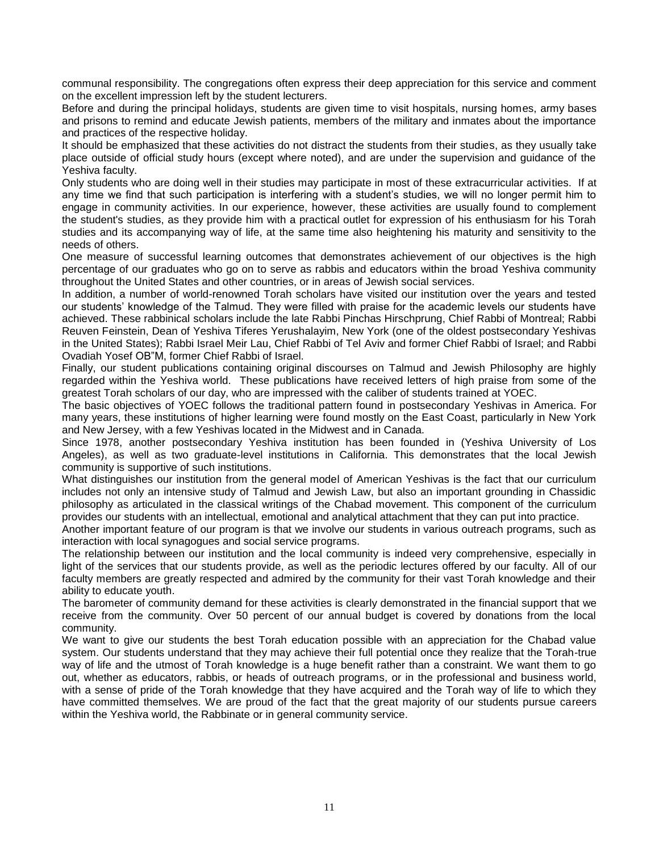communal responsibility. The congregations often express their deep appreciation for this service and comment on the excellent impression left by the student lecturers.

Before and during the principal holidays, students are given time to visit hospitals, nursing homes, army bases and prisons to remind and educate Jewish patients, members of the military and inmates about the importance and practices of the respective holiday.

It should be emphasized that these activities do not distract the students from their studies, as they usually take place outside of official study hours (except where noted), and are under the supervision and guidance of the Yeshiva faculty.

Only students who are doing well in their studies may participate in most of these extracurricular activities. If at any time we find that such participation is interfering with a student's studies, we will no longer permit him to engage in community activities. In our experience, however, these activities are usually found to complement the student's studies, as they provide him with a practical outlet for expression of his enthusiasm for his Torah studies and its accompanying way of life, at the same time also heightening his maturity and sensitivity to the needs of others.

One measure of successful learning outcomes that demonstrates achievement of our objectives is the high percentage of our graduates who go on to serve as rabbis and educators within the broad Yeshiva community throughout the United States and other countries, or in areas of Jewish social services.

In addition, a number of world-renowned Torah scholars have visited our institution over the years and tested our students' knowledge of the Talmud. They were filled with praise for the academic levels our students have achieved. These rabbinical scholars include the late Rabbi Pinchas Hirschprung, Chief Rabbi of Montreal; Rabbi Reuven Feinstein, Dean of Yeshiva Tiferes Yerushalayim, New York (one of the oldest postsecondary Yeshivas in the United States); Rabbi Israel Meir Lau, Chief Rabbi of Tel Aviv and former Chief Rabbi of Israel; and Rabbi Ovadiah Yosef OB"M, former Chief Rabbi of Israel.

Finally, our student publications containing original discourses on Talmud and Jewish Philosophy are highly regarded within the Yeshiva world. These publications have received letters of high praise from some of the greatest Torah scholars of our day, who are impressed with the caliber of students trained at YOEC.

The basic objectives of YOEC follows the traditional pattern found in postsecondary Yeshivas in America. For many years, these institutions of higher learning were found mostly on the East Coast, particularly in New York and New Jersey, with a few Yeshivas located in the Midwest and in Canada.

Since 1978, another postsecondary Yeshiva institution has been founded in (Yeshiva University of Los Angeles), as well as two graduate-level institutions in California. This demonstrates that the local Jewish community is supportive of such institutions.

What distinguishes our institution from the general model of American Yeshivas is the fact that our curriculum includes not only an intensive study of Talmud and Jewish Law, but also an important grounding in Chassidic philosophy as articulated in the classical writings of the Chabad movement. This component of the curriculum provides our students with an intellectual, emotional and analytical attachment that they can put into practice.

Another important feature of our program is that we involve our students in various outreach programs, such as interaction with local synagogues and social service programs.

The relationship between our institution and the local community is indeed very comprehensive, especially in light of the services that our students provide, as well as the periodic lectures offered by our faculty. All of our faculty members are greatly respected and admired by the community for their vast Torah knowledge and their ability to educate youth.

The barometer of community demand for these activities is clearly demonstrated in the financial support that we receive from the community. Over 50 percent of our annual budget is covered by donations from the local community.

We want to give our students the best Torah education possible with an appreciation for the Chabad value system. Our students understand that they may achieve their full potential once they realize that the Torah-true way of life and the utmost of Torah knowledge is a huge benefit rather than a constraint. We want them to go out, whether as educators, rabbis, or heads of outreach programs, or in the professional and business world, with a sense of pride of the Torah knowledge that they have acquired and the Torah way of life to which they have committed themselves. We are proud of the fact that the great majority of our students pursue careers within the Yeshiva world, the Rabbinate or in general community service.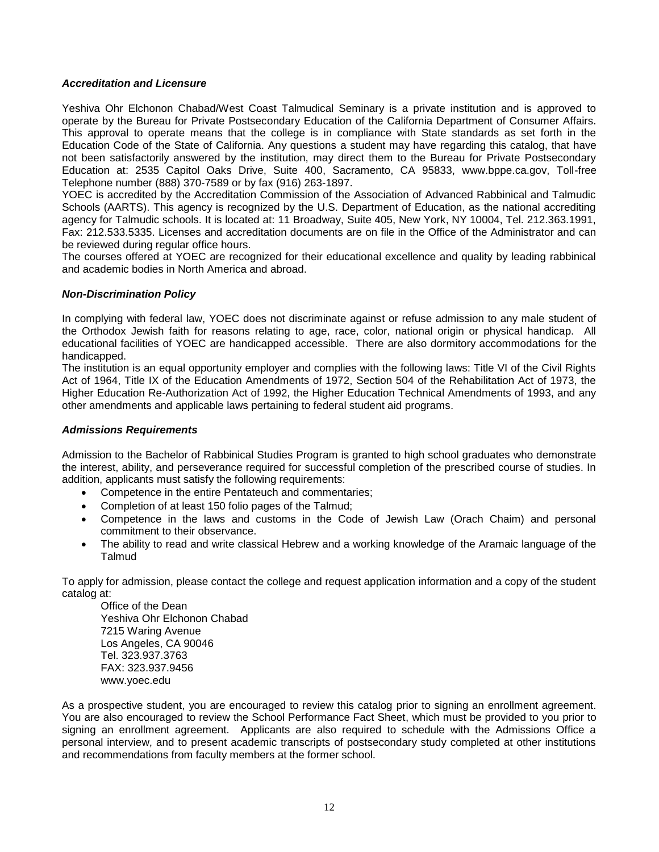# <span id="page-11-0"></span>*Accreditation and Licensure*

Yeshiva Ohr Elchonon Chabad/West Coast Talmudical Seminary is a private institution and is approved to operate by the Bureau for Private Postsecondary Education of the California Department of Consumer Affairs. This approval to operate means that the college is in compliance with State standards as set forth in the Education Code of the State of California. Any questions a student may have regarding this catalog, that have not been satisfactorily answered by the institution, may direct them to the Bureau for Private Postsecondary Education at: 2535 Capitol Oaks Drive, Suite 400, Sacramento, CA 95833, www.bppe.ca.gov, Toll-free Telephone number (888) 370-7589 or by fax (916) 263-1897.

YOEC is accredited by the Accreditation Commission of the Association of Advanced Rabbinical and Talmudic Schools (AARTS). This agency is recognized by the U.S. Department of Education, as the national accrediting agency for Talmudic schools. It is located at: 11 Broadway, Suite 405, New York, NY 10004, Tel. 212.363.1991, Fax: 212.533.5335. Licenses and accreditation documents are on file in the Office of the Administrator and can be reviewed during regular office hours.

The courses offered at YOEC are recognized for their educational excellence and quality by leading rabbinical and academic bodies in North America and abroad.

# <span id="page-11-1"></span>*Non-Discrimination Policy*

In complying with federal law, YOEC does not discriminate against or refuse admission to any male student of the Orthodox Jewish faith for reasons relating to age, race, color, national origin or physical handicap. All educational facilities of YOEC are handicapped accessible. There are also dormitory accommodations for the handicapped.

The institution is an equal opportunity employer and complies with the following laws: Title VI of the Civil Rights Act of 1964, Title IX of the Education Amendments of 1972, Section 504 of the Rehabilitation Act of 1973, the Higher Education Re-Authorization Act of 1992, the Higher Education Technical Amendments of 1993, and any other amendments and applicable laws pertaining to federal student aid programs.

# <span id="page-11-2"></span>*Admissions Requirements*

Admission to the Bachelor of Rabbinical Studies Program is granted to high school graduates who demonstrate the interest, ability, and perseverance required for successful completion of the prescribed course of studies. In addition, applicants must satisfy the following requirements:

- Competence in the entire Pentateuch and commentaries;
- Completion of at least 150 folio pages of the Talmud;
- Competence in the laws and customs in the Code of Jewish Law (Orach Chaim) and personal commitment to their observance.
- The ability to read and write classical Hebrew and a working knowledge of the Aramaic language of the Talmud

To apply for admission, please contact the college and request application information and a copy of the student catalog at:

Office of the Dean Yeshiva Ohr Elchonon Chabad 7215 Waring Avenue Los Angeles, CA 90046 Tel. 323.937.3763 FAX: 323.937.9456 www.yoec.edu

As a prospective student, you are encouraged to review this catalog prior to signing an enrollment agreement. You are also encouraged to review the School Performance Fact Sheet, which must be provided to you prior to signing an enrollment agreement. Applicants are also required to schedule with the Admissions Office a personal interview, and to present academic transcripts of postsecondary study completed at other institutions and recommendations from faculty members at the former school.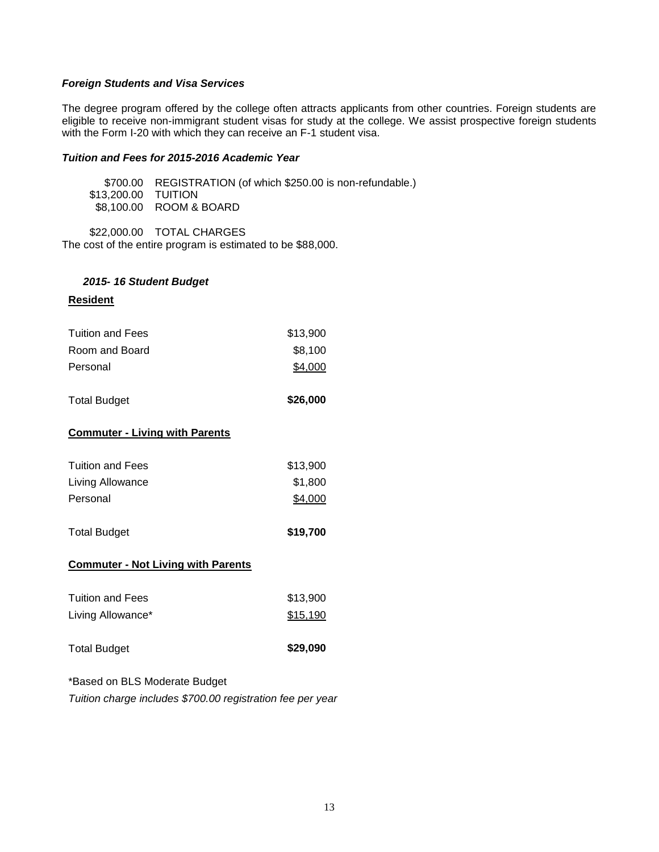# <span id="page-12-0"></span>*Foreign Students and Visa Services*

The degree program offered by the college often attracts applicants from other countries. Foreign students are eligible to receive non-immigrant student visas for study at the college. We assist prospective foreign students with the Form I-20 with which they can receive an F-1 student visa.

# <span id="page-12-1"></span>*Tuition and Fees for 2015-2016 Academic Year*

\$700.00 REGISTRATION (of which \$250.00 is non-refundable.) \$13,200.00 TUITION \$8,100.00 ROOM & BOARD

\$22,000.00 TOTAL CHARGES

The cost of the entire program is estimated to be \$88,000.

# *2015- 16 Student Budget*

# **Resident**

| Tuition and Fees | \$13,900 |
|------------------|----------|
| Room and Board   | \$8.100  |
| Personal         | \$4,000  |

Total Budget **\$26,000** 

# **Commuter - Living with Parents**

| <b>Tuition and Fees</b> | \$13,900 |
|-------------------------|----------|
| Living Allowance        | \$1,800  |
| Personal                | \$4,000  |

| <b>Total Budget</b> | \$19,700 |
|---------------------|----------|
|---------------------|----------|

# **Commuter - Not Living with Parents**

| <b>Total Budget</b>     | \$29,090 |
|-------------------------|----------|
| Living Allowance*       | \$15,190 |
| <b>Tuition and Fees</b> | \$13.900 |

# \*Based on BLS Moderate Budget

*Tuition charge includes \$700.00 registration fee per year*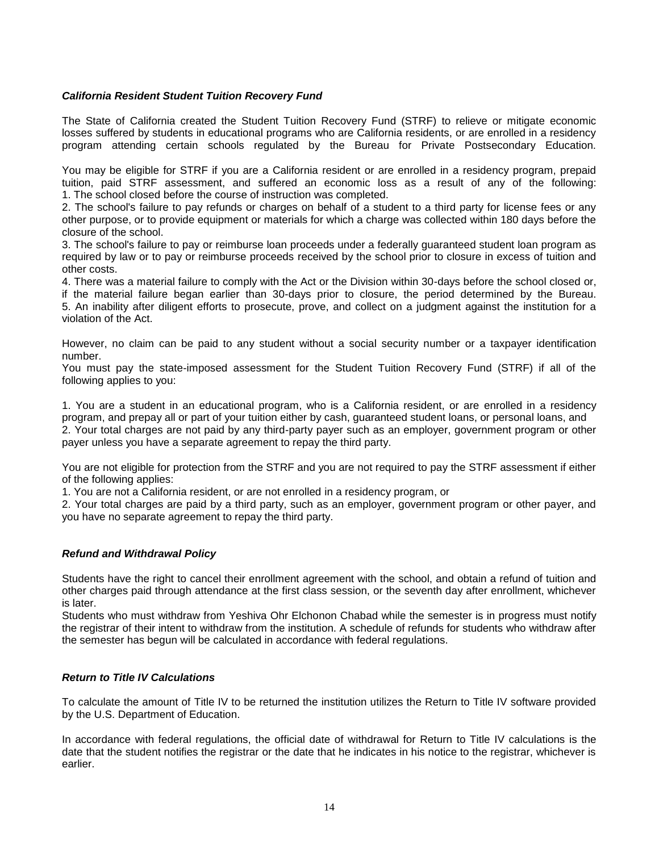# <span id="page-13-0"></span>*California Resident Student Tuition Recovery Fund*

The State of California created the Student Tuition Recovery Fund (STRF) to relieve or mitigate economic losses suffered by students in educational programs who are California residents, or are enrolled in a residency program attending certain schools regulated by the Bureau for Private Postsecondary Education.

You may be eligible for STRF if you are a California resident or are enrolled in a residency program, prepaid tuition, paid STRF assessment, and suffered an economic loss as a result of any of the following: 1. The school closed before the course of instruction was completed.

2. The school's failure to pay refunds or charges on behalf of a student to a third party for license fees or any other purpose, or to provide equipment or materials for which a charge was collected within 180 days before the closure of the school.

3. The school's failure to pay or reimburse loan proceeds under a federally guaranteed student loan program as required by law or to pay or reimburse proceeds received by the school prior to closure in excess of tuition and other costs.

4. There was a material failure to comply with the Act or the Division within 30-days before the school closed or, if the material failure began earlier than 30-days prior to closure, the period determined by the Bureau. 5. An inability after diligent efforts to prosecute, prove, and collect on a judgment against the institution for a violation of the Act.

However, no claim can be paid to any student without a social security number or a taxpayer identification number.

You must pay the state-imposed assessment for the Student Tuition Recovery Fund (STRF) if all of the following applies to you:

1. You are a student in an educational program, who is a California resident, or are enrolled in a residency program, and prepay all or part of your tuition either by cash, guaranteed student loans, or personal loans, and 2. Your total charges are not paid by any third-party payer such as an employer, government program or other payer unless you have a separate agreement to repay the third party.

You are not eligible for protection from the STRF and you are not required to pay the STRF assessment if either of the following applies:

1. You are not a California resident, or are not enrolled in a residency program, or

2. Your total charges are paid by a third party, such as an employer, government program or other payer, and you have no separate agreement to repay the third party.

# <span id="page-13-1"></span>*Refund and Withdrawal Policy*

Students have the right to cancel their enrollment agreement with the school, and obtain a refund of tuition and other charges paid through attendance at the first class session, or the seventh day after enrollment, whichever is later.

Students who must withdraw from Yeshiva Ohr Elchonon Chabad while the semester is in progress must notify the registrar of their intent to withdraw from the institution. A schedule of refunds for students who withdraw after the semester has begun will be calculated in accordance with federal regulations.

# <span id="page-13-2"></span>*Return to Title IV Calculations*

To calculate the amount of Title IV to be returned the institution utilizes the Return to Title IV software provided by the U.S. Department of Education.

In accordance with federal regulations, the official date of withdrawal for Return to Title IV calculations is the date that the student notifies the registrar or the date that he indicates in his notice to the registrar, whichever is earlier.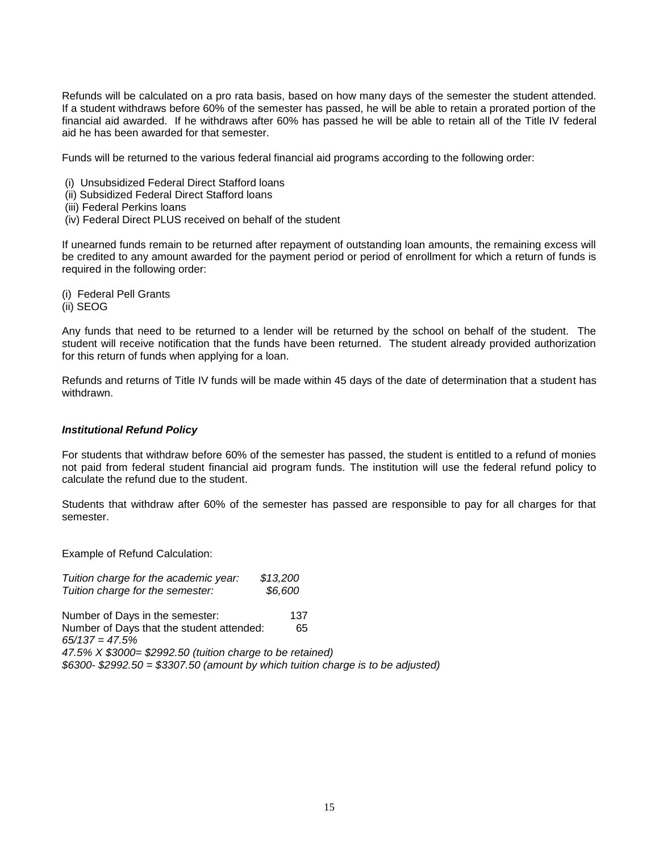Refunds will be calculated on a pro rata basis, based on how many days of the semester the student attended. If a student withdraws before 60% of the semester has passed, he will be able to retain a prorated portion of the financial aid awarded. If he withdraws after 60% has passed he will be able to retain all of the Title IV federal aid he has been awarded for that semester.

Funds will be returned to the various federal financial aid programs according to the following order:

- (i) Unsubsidized Federal Direct Stafford loans
- (ii) Subsidized Federal Direct Stafford loans
- (iii) Federal Perkins loans
- (iv) Federal Direct PLUS received on behalf of the student

If unearned funds remain to be returned after repayment of outstanding loan amounts, the remaining excess will be credited to any amount awarded for the payment period or period of enrollment for which a return of funds is required in the following order:

(i) Federal Pell Grants (ii) SEOG

Any funds that need to be returned to a lender will be returned by the school on behalf of the student. The student will receive notification that the funds have been returned. The student already provided authorization for this return of funds when applying for a loan.

Refunds and returns of Title IV funds will be made within 45 days of the date of determination that a student has withdrawn.

#### <span id="page-14-0"></span>*Institutional Refund Policy*

For students that withdraw before 60% of the semester has passed, the student is entitled to a refund of monies not paid from federal student financial aid program funds. The institution will use the federal refund policy to calculate the refund due to the student.

Students that withdraw after 60% of the semester has passed are responsible to pay for all charges for that semester.

Example of Refund Calculation:

*Tuition charge for the academic year: \$13,200*

*Tuition charge for the semester: \$6,600* Number of Days in the semester: 137 Number of Days that the student attended: 65 *65/137 = 47.5% 47.5% X \$3000= \$2992.50 (tuition charge to be retained) \$6300- \$2992.50 = \$3307.50 (amount by which tuition charge is to be adjusted)*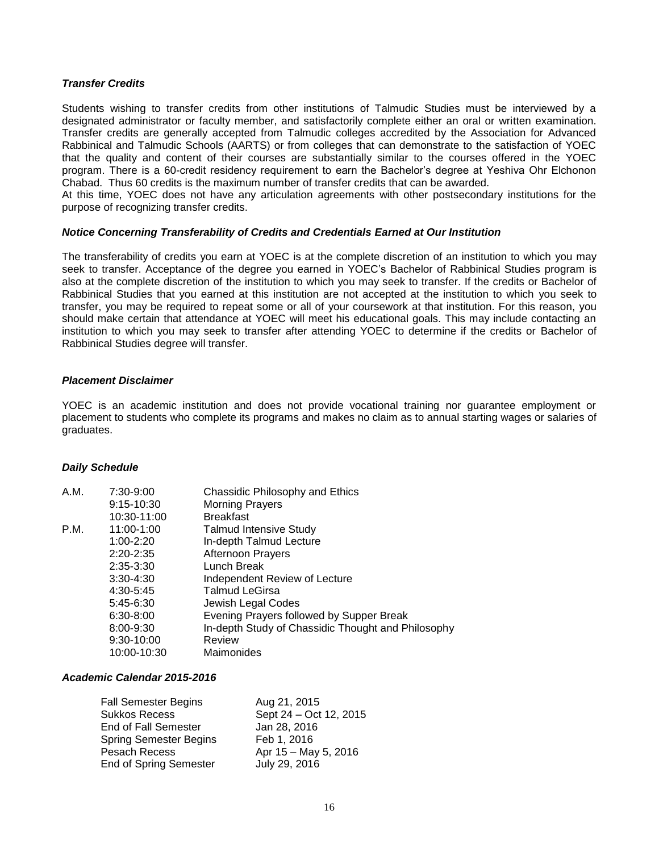# <span id="page-15-0"></span>*Transfer Credits*

Students wishing to transfer credits from other institutions of Talmudic Studies must be interviewed by a designated administrator or faculty member, and satisfactorily complete either an oral or written examination. Transfer credits are generally accepted from Talmudic colleges accredited by the Association for Advanced Rabbinical and Talmudic Schools (AARTS) or from colleges that can demonstrate to the satisfaction of YOEC that the quality and content of their courses are substantially similar to the courses offered in the YOEC program. There is a 60-credit residency requirement to earn the Bachelor's degree at Yeshiva Ohr Elchonon Chabad. Thus 60 credits is the maximum number of transfer credits that can be awarded.

At this time, YOEC does not have any articulation agreements with other postsecondary institutions for the purpose of recognizing transfer credits.

# <span id="page-15-1"></span>*Notice Concerning Transferability of Credits and Credentials Earned at Our Institution*

The transferability of credits you earn at YOEC is at the complete discretion of an institution to which you may seek to transfer. Acceptance of the degree you earned in YOEC's Bachelor of Rabbinical Studies program is also at the complete discretion of the institution to which you may seek to transfer. If the credits or Bachelor of Rabbinical Studies that you earned at this institution are not accepted at the institution to which you seek to transfer, you may be required to repeat some or all of your coursework at that institution. For this reason, you should make certain that attendance at YOEC will meet his educational goals. This may include contacting an institution to which you may seek to transfer after attending YOEC to determine if the credits or Bachelor of Rabbinical Studies degree will transfer.

# <span id="page-15-2"></span>*Placement Disclaimer*

YOEC is an academic institution and does not provide vocational training nor guarantee employment or placement to students who complete its programs and makes no claim as to annual starting wages or salaries of graduates.

# <span id="page-15-3"></span>*Daily Schedule*

| A.M. | 7:30-9:00     | Chassidic Philosophy and Ethics                    |
|------|---------------|----------------------------------------------------|
|      | $9:15-10:30$  | <b>Morning Prayers</b>                             |
|      | 10:30-11:00   | <b>Breakfast</b>                                   |
| P.M. | 11:00-1:00    | <b>Talmud Intensive Study</b>                      |
|      | $1:00 - 2:20$ | In-depth Talmud Lecture                            |
|      | $2:20 - 2:35$ | <b>Afternoon Prayers</b>                           |
|      | $2:35 - 3:30$ | Lunch Break                                        |
|      | $3:30 - 4:30$ | Independent Review of Lecture                      |
|      | 4:30-5:45     | <b>Talmud LeGirsa</b>                              |
|      | $5:45-6:30$   | Jewish Legal Codes                                 |
|      | $6:30 - 8:00$ | Evening Prayers followed by Supper Break           |
|      | 8:00-9:30     | In-depth Study of Chassidic Thought and Philosophy |
|      | 9:30-10:00    | Review                                             |
|      | 10:00-10:30   | Maimonides                                         |

# *Academic Calendar 2015-2016*

| <b>Fall Semester Begins</b>   | Aug 21, 2015           |
|-------------------------------|------------------------|
| <b>Sukkos Recess</b>          | Sept 24 - Oct 12, 2015 |
| <b>End of Fall Semester</b>   | Jan 28, 2016           |
| <b>Spring Semester Begins</b> | Feb 1, 2016            |
| <b>Pesach Recess</b>          | Apr 15 - May 5, 2016   |
| <b>End of Spring Semester</b> | July 29, 2016          |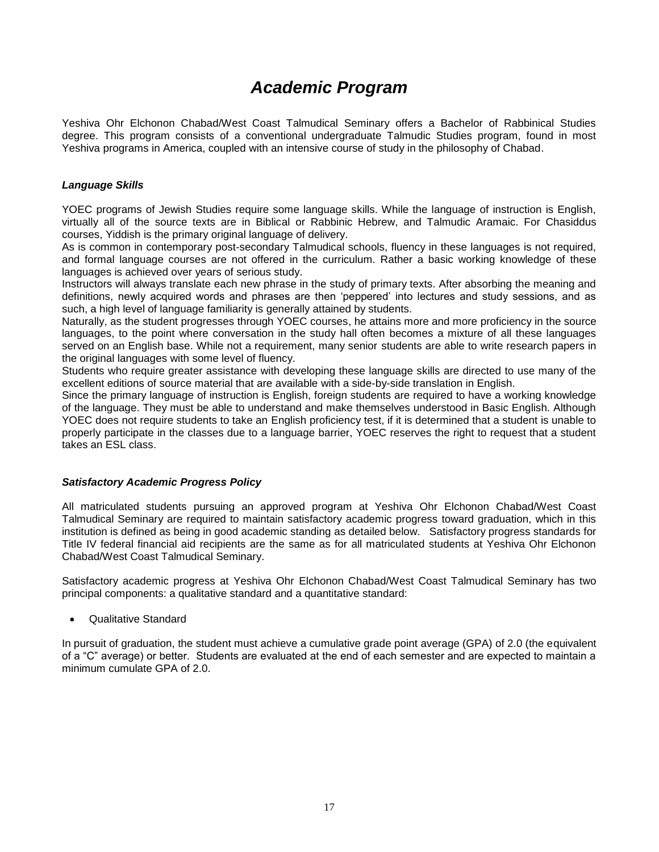# *Academic Program*

<span id="page-16-0"></span>Yeshiva Ohr Elchonon Chabad/West Coast Talmudical Seminary offers a Bachelor of Rabbinical Studies degree. This program consists of a conventional undergraduate Talmudic Studies program, found in most Yeshiva programs in America, coupled with an intensive course of study in the philosophy of Chabad.

# <span id="page-16-1"></span>*Language Skills*

YOEC programs of Jewish Studies require some language skills. While the language of instruction is English, virtually all of the source texts are in Biblical or Rabbinic Hebrew, and Talmudic Aramaic. For Chasiddus courses, Yiddish is the primary original language of delivery.

As is common in contemporary post-secondary Talmudical schools, fluency in these languages is not required, and formal language courses are not offered in the curriculum. Rather a basic working knowledge of these languages is achieved over years of serious study.

Instructors will always translate each new phrase in the study of primary texts. After absorbing the meaning and definitions, newly acquired words and phrases are then 'peppered' into lectures and study sessions, and as such, a high level of language familiarity is generally attained by students.

Naturally, as the student progresses through YOEC courses, he attains more and more proficiency in the source languages, to the point where conversation in the study hall often becomes a mixture of all these languages served on an English base. While not a requirement, many senior students are able to write research papers in the original languages with some level of fluency.

Students who require greater assistance with developing these language skills are directed to use many of the excellent editions of source material that are available with a side-by-side translation in English.

Since the primary language of instruction is English, foreign students are required to have a working knowledge of the language. They must be able to understand and make themselves understood in Basic English. Although YOEC does not require students to take an English proficiency test, if it is determined that a student is unable to properly participate in the classes due to a language barrier, YOEC reserves the right to request that a student takes an ESL class.

# <span id="page-16-2"></span>*Satisfactory Academic Progress Policy*

All matriculated students pursuing an approved program at Yeshiva Ohr Elchonon Chabad/West Coast Talmudical Seminary are required to maintain satisfactory academic progress toward graduation, which in this institution is defined as being in good academic standing as detailed below. Satisfactory progress standards for Title IV federal financial aid recipients are the same as for all matriculated students at Yeshiva Ohr Elchonon Chabad/West Coast Talmudical Seminary.

Satisfactory academic progress at Yeshiva Ohr Elchonon Chabad/West Coast Talmudical Seminary has two principal components: a qualitative standard and a quantitative standard:

Qualitative Standard

In pursuit of graduation, the student must achieve a cumulative grade point average (GPA) of 2.0 (the equivalent of a "C" average) or better. Students are evaluated at the end of each semester and are expected to maintain a minimum cumulate GPA of 2.0.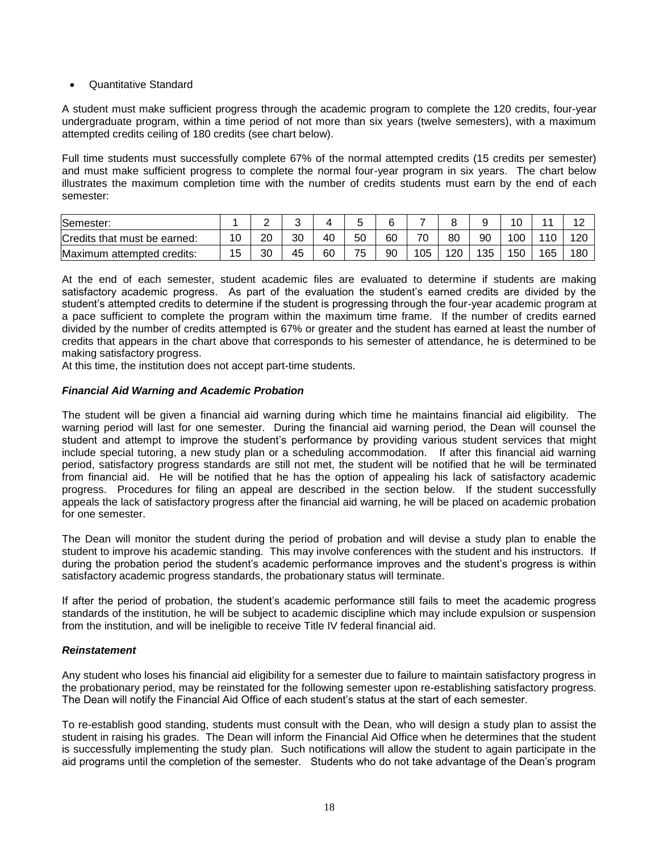# Quantitative Standard

A student must make sufficient progress through the academic program to complete the 120 credits, four-year undergraduate program, within a time period of not more than six years (twelve semesters), with a maximum attempted credits ceiling of 180 credits (see chart below).

Full time students must successfully complete 67% of the normal attempted credits (15 credits per semester) and must make sufficient progress to complete the normal four-year program in six years. The chart below illustrates the maximum completion time with the number of credits students must earn by the end of each semester:

| Semester:                          |    | -  |    |    |    | ⌒<br>ь |         |     |     | $\overline{A}$ $\overline{C}$<br>ັ |     | 1 C<br>$\epsilon$ |
|------------------------------------|----|----|----|----|----|--------|---------|-----|-----|------------------------------------|-----|-------------------|
| Credits that must be earned:       | 10 | 20 | 30 | 40 | 50 | 60     | 70<br>◡ | 80  | 90  | 00ا                                | 110 | 120               |
| Maximum<br>l credits:<br>attempted | 15 | 30 | 45 | 60 | 75 | 90     | 105     | 120 | 135 | 150                                | 165 | 180               |

At the end of each semester, student academic files are evaluated to determine if students are making satisfactory academic progress. As part of the evaluation the student's earned credits are divided by the student's attempted credits to determine if the student is progressing through the four-year academic program at a pace sufficient to complete the program within the maximum time frame. If the number of credits earned divided by the number of credits attempted is 67% or greater and the student has earned at least the number of credits that appears in the chart above that corresponds to his semester of attendance, he is determined to be making satisfactory progress.

At this time, the institution does not accept part-time students.

# <span id="page-17-0"></span>*Financial Aid Warning and Academic Probation*

The student will be given a financial aid warning during which time he maintains financial aid eligibility. The warning period will last for one semester. During the financial aid warning period, the Dean will counsel the student and attempt to improve the student's performance by providing various student services that might include special tutoring, a new study plan or a scheduling accommodation. If after this financial aid warning period, satisfactory progress standards are still not met, the student will be notified that he will be terminated from financial aid. He will be notified that he has the option of appealing his lack of satisfactory academic progress. Procedures for filing an appeal are described in the section below. If the student successfully appeals the lack of satisfactory progress after the financial aid warning, he will be placed on academic probation for one semester.

The Dean will monitor the student during the period of probation and will devise a study plan to enable the student to improve his academic standing. This may involve conferences with the student and his instructors. If during the probation period the student's academic performance improves and the student's progress is within satisfactory academic progress standards, the probationary status will terminate.

If after the period of probation, the student's academic performance still fails to meet the academic progress standards of the institution, he will be subject to academic discipline which may include expulsion or suspension from the institution, and will be ineligible to receive Title IV federal financial aid.

# <span id="page-17-1"></span>*Reinstatement*

Any student who loses his financial aid eligibility for a semester due to failure to maintain satisfactory progress in the probationary period, may be reinstated for the following semester upon re-establishing satisfactory progress. The Dean will notify the Financial Aid Office of each student's status at the start of each semester.

To re-establish good standing, students must consult with the Dean, who will design a study plan to assist the student in raising his grades. The Dean will inform the Financial Aid Office when he determines that the student is successfully implementing the study plan. Such notifications will allow the student to again participate in the aid programs until the completion of the semester. Students who do not take advantage of the Dean's program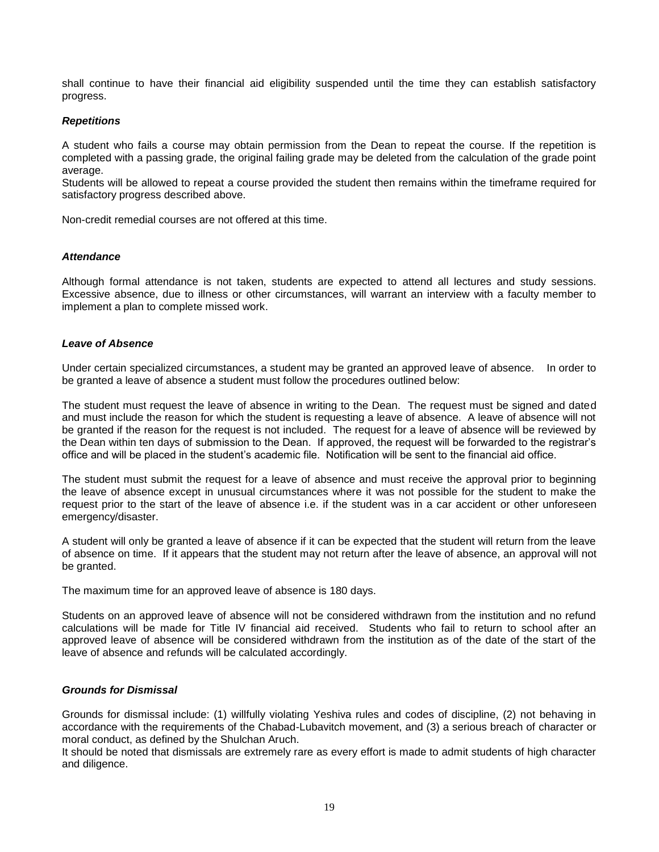shall continue to have their financial aid eligibility suspended until the time they can establish satisfactory progress.

# <span id="page-18-0"></span>*Repetitions*

A student who fails a course may obtain permission from the Dean to repeat the course. If the repetition is completed with a passing grade, the original failing grade may be deleted from the calculation of the grade point average.

Students will be allowed to repeat a course provided the student then remains within the timeframe required for satisfactory progress described above.

Non-credit remedial courses are not offered at this time.

#### <span id="page-18-1"></span>*Attendance*

Although formal attendance is not taken, students are expected to attend all lectures and study sessions. Excessive absence, due to illness or other circumstances, will warrant an interview with a faculty member to implement a plan to complete missed work.

#### <span id="page-18-2"></span>*Leave of Absence*

Under certain specialized circumstances, a student may be granted an approved leave of absence. In order to be granted a leave of absence a student must follow the procedures outlined below:

The student must request the leave of absence in writing to the Dean. The request must be signed and dated and must include the reason for which the student is requesting a leave of absence. A leave of absence will not be granted if the reason for the request is not included. The request for a leave of absence will be reviewed by the Dean within ten days of submission to the Dean. If approved, the request will be forwarded to the registrar's office and will be placed in the student's academic file. Notification will be sent to the financial aid office.

The student must submit the request for a leave of absence and must receive the approval prior to beginning the leave of absence except in unusual circumstances where it was not possible for the student to make the request prior to the start of the leave of absence i.e. if the student was in a car accident or other unforeseen emergency/disaster.

A student will only be granted a leave of absence if it can be expected that the student will return from the leave of absence on time. If it appears that the student may not return after the leave of absence, an approval will not be granted.

The maximum time for an approved leave of absence is 180 days.

Students on an approved leave of absence will not be considered withdrawn from the institution and no refund calculations will be made for Title IV financial aid received. Students who fail to return to school after an approved leave of absence will be considered withdrawn from the institution as of the date of the start of the leave of absence and refunds will be calculated accordingly.

# <span id="page-18-3"></span>*Grounds for Dismissal*

Grounds for dismissal include: (1) willfully violating Yeshiva rules and codes of discipline, (2) not behaving in accordance with the requirements of the Chabad-Lubavitch movement, and (3) a serious breach of character or moral conduct, as defined by the Shulchan Aruch.

It should be noted that dismissals are extremely rare as every effort is made to admit students of high character and diligence.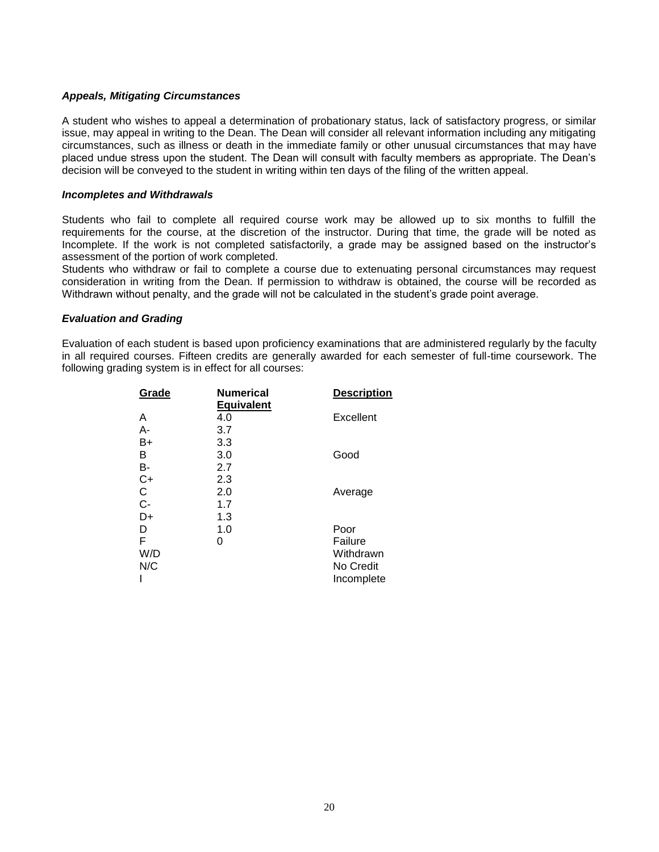# <span id="page-19-0"></span>*Appeals, Mitigating Circumstances*

A student who wishes to appeal a determination of probationary status, lack of satisfactory progress, or similar issue, may appeal in writing to the Dean. The Dean will consider all relevant information including any mitigating circumstances, such as illness or death in the immediate family or other unusual circumstances that may have placed undue stress upon the student. The Dean will consult with faculty members as appropriate. The Dean's decision will be conveyed to the student in writing within ten days of the filing of the written appeal.

# <span id="page-19-1"></span>*Incompletes and Withdrawals*

Students who fail to complete all required course work may be allowed up to six months to fulfill the requirements for the course, at the discretion of the instructor. During that time, the grade will be noted as Incomplete. If the work is not completed satisfactorily, a grade may be assigned based on the instructor's assessment of the portion of work completed.

Students who withdraw or fail to complete a course due to extenuating personal circumstances may request consideration in writing from the Dean. If permission to withdraw is obtained, the course will be recorded as Withdrawn without penalty, and the grade will not be calculated in the student's grade point average.

# *Evaluation and Grading*

Evaluation of each student is based upon proficiency examinations that are administered regularly by the faculty in all required courses. Fifteen credits are generally awarded for each semester of full-time coursework. The following grading system is in effect for all courses:

| Grade | <b>Numerical</b>  | <b>Description</b> |  |  |
|-------|-------------------|--------------------|--|--|
|       | <b>Equivalent</b> |                    |  |  |
| Α     | 4.0               | Excellent          |  |  |
| А-    | 3.7               |                    |  |  |
| B+    | 3.3               |                    |  |  |
| В     | 3.0               | Good               |  |  |
| В-    | 2.7               |                    |  |  |
| $C+$  | 2.3               |                    |  |  |
| C     | 2.0               | Average            |  |  |
| $C -$ | 1.7               |                    |  |  |
| D+    | 1.3               |                    |  |  |
| D     | 1.0               | Poor               |  |  |
| F     | 0                 | Failure            |  |  |
| W/D   |                   | Withdrawn          |  |  |
| N/C   |                   | No Credit          |  |  |
|       |                   | Incomplete         |  |  |
|       |                   |                    |  |  |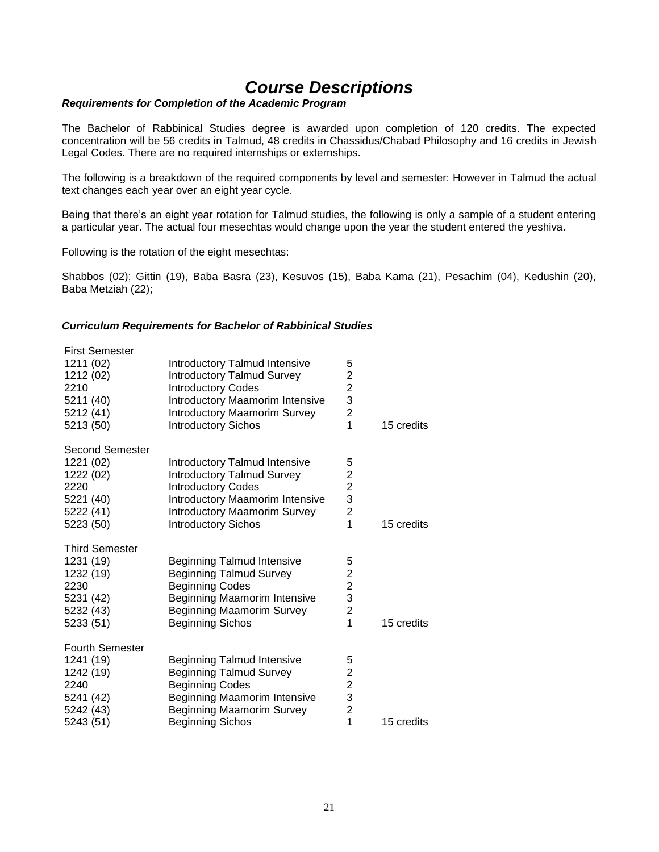# *Course Descriptions*

# <span id="page-20-0"></span>*Requirements for Completion of the Academic Program*

The Bachelor of Rabbinical Studies degree is awarded upon completion of 120 credits. The expected concentration will be 56 credits in Talmud, 48 credits in Chassidus/Chabad Philosophy and 16 credits in Jewish Legal Codes. There are no required internships or externships.

The following is a breakdown of the required components by level and semester: However in Talmud the actual text changes each year over an eight year cycle.

Being that there's an eight year rotation for Talmud studies, the following is only a sample of a student entering a particular year. The actual four mesechtas would change upon the year the student entered the yeshiva.

Following is the rotation of the eight mesechtas:

Shabbos (02); Gittin (19), Baba Basra (23), Kesuvos (15), Baba Kama (21), Pesachim (04), Kedushin (20), Baba Metziah (22);

# <span id="page-20-1"></span>*Curriculum Requirements for Bachelor of Rabbinical Studies*

| <b>First Semester</b><br>1211 (02)<br>1212 (02)<br>2210<br>5211 (40)<br>5212 (41)<br>5213 (50)  | Introductory Talmud Intensive<br><b>Introductory Talmud Survey</b><br><b>Introductory Codes</b><br>Introductory Maamorim Intensive<br><b>Introductory Maamorim Survey</b><br><b>Introductory Sichos</b>        | 5<br>$\begin{array}{c}\n2 \\ 2 \\ 3 \\ 2\n\end{array}$<br>$\overline{1}$            | 15 credits |
|-------------------------------------------------------------------------------------------------|----------------------------------------------------------------------------------------------------------------------------------------------------------------------------------------------------------------|-------------------------------------------------------------------------------------|------------|
| <b>Second Semester</b><br>1221 (02)<br>1222 (02)<br>2220<br>5221 (40)<br>5222 (41)<br>5223 (50) | <b>Introductory Talmud Intensive</b><br><b>Introductory Talmud Survey</b><br><b>Introductory Codes</b><br>Introductory Maamorim Intensive<br><b>Introductory Maamorim Survey</b><br><b>Introductory Sichos</b> | 5<br>$\begin{array}{c} 2 \\ 2 \\ 3 \end{array}$<br>$\overline{c}$<br>1              | 15 credits |
| <b>Third Semester</b><br>1231 (19)<br>1232 (19)<br>2230<br>5231 (42)<br>5232 (43)<br>5233 (51)  | <b>Beginning Talmud Intensive</b><br><b>Beginning Talmud Survey</b><br><b>Beginning Codes</b><br>Beginning Maamorim Intensive<br><b>Beginning Maamorim Survey</b><br><b>Beginning Sichos</b>                   | 5<br>$\begin{array}{c} 2 \\ 2 \\ 3 \end{array}$<br>$\overline{2}$<br>$\overline{1}$ | 15 credits |
| <b>Fourth Semester</b><br>1241 (19)<br>1242 (19)<br>2240<br>5241 (42)<br>5242 (43)<br>5243 (51) | <b>Beginning Talmud Intensive</b><br><b>Beginning Talmud Survey</b><br><b>Beginning Codes</b><br>Beginning Maamorim Intensive<br><b>Beginning Maamorim Survey</b><br><b>Beginning Sichos</b>                   | 5<br>$\begin{array}{c} 2 \\ 2 \\ 3 \end{array}$<br>$\overline{2}$<br>$\overline{1}$ | 15 credits |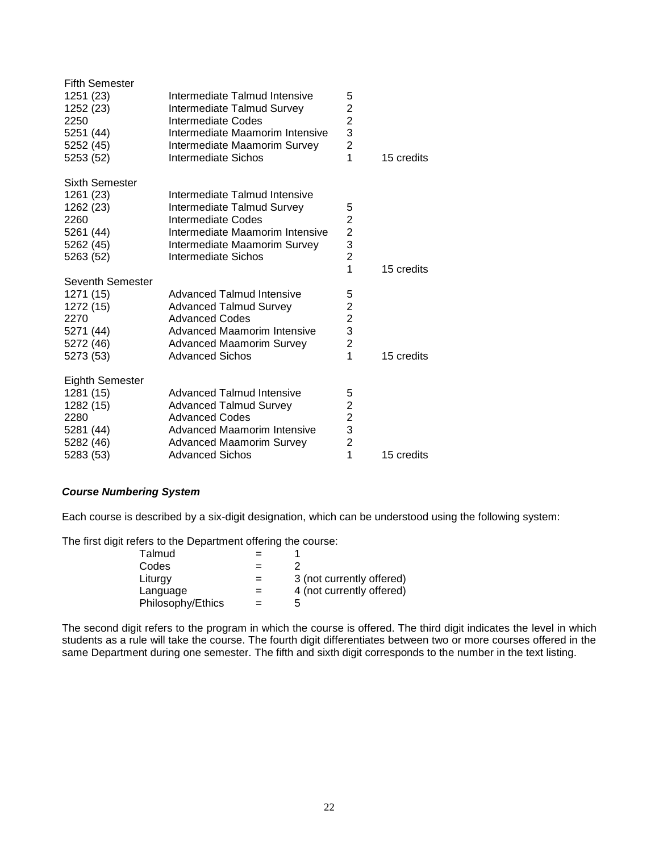| <b>Fifth Semester</b>  |                                    |                         |            |
|------------------------|------------------------------------|-------------------------|------------|
| 1251 (23)              | Intermediate Talmud Intensive      | 5                       |            |
| 1252 (23)              | Intermediate Talmud Survey         | $\overline{\mathbf{c}}$ |            |
| 2250                   | Intermediate Codes                 | $\overline{c}$          |            |
| 5251 (44)              | Intermediate Maamorim Intensive    | 3                       |            |
| 5252 (45)              | Intermediate Maamorim Survey       | $\overline{2}$          |            |
| 5253 (52)              | Intermediate Sichos                | 1                       | 15 credits |
| Sixth Semester         |                                    |                         |            |
| 1261 (23)              | Intermediate Talmud Intensive      |                         |            |
| 1262 (23)              | Intermediate Talmud Survey         | 5                       |            |
| 2260                   | Intermediate Codes                 | $\overline{2}$          |            |
| 5261 (44)              | Intermediate Maamorim Intensive    | $\overline{c}$          |            |
| 5262 (45)              | Intermediate Maamorim Survey       | 3                       |            |
| 5263 (52)              | Intermediate Sichos                | $\overline{2}$          |            |
|                        |                                    | 1                       | 15 credits |
| Seventh Semester       |                                    |                         |            |
| 1271 (15)              | <b>Advanced Talmud Intensive</b>   | 5                       |            |
| 1272 (15)              | <b>Advanced Talmud Survey</b>      | 2                       |            |
| 2270                   | <b>Advanced Codes</b>              | $\overline{2}$          |            |
| 5271 (44)              | Advanced Maamorim Intensive        | 3                       |            |
| 5272 (46)              | <b>Advanced Maamorim Survey</b>    | $\overline{2}$          |            |
| 5273 (53)              | <b>Advanced Sichos</b>             | 1                       | 15 credits |
| <b>Eighth Semester</b> |                                    |                         |            |
| 1281 (15)              | Advanced Talmud Intensive          | 5                       |            |
| 1282 (15)              | <b>Advanced Talmud Survey</b>      | $\overline{c}$          |            |
| 2280                   | <b>Advanced Codes</b>              | $\overline{2}$          |            |
| 5281 (44)              | <b>Advanced Maamorim Intensive</b> | 3                       |            |
| 5282 (46)              | <b>Advanced Maamorim Survey</b>    | $\overline{2}$          |            |
| 5283 (53)              | <b>Advanced Sichos</b>             | 1                       | 15 credits |
|                        |                                    |                         |            |

# <span id="page-21-0"></span>*Course Numbering System*

Each course is described by a six-digit designation, which can be understood using the following system:

The first digit refers to the Department offering the course:

| Talmud            |     |                           |
|-------------------|-----|---------------------------|
| Codes             |     |                           |
| Liturgy           | $=$ | 3 (not currently offered) |
| Language          | $=$ | 4 (not currently offered) |
| Philosophy/Ethics |     | h                         |

The second digit refers to the program in which the course is offered. The third digit indicates the level in which students as a rule will take the course. The fourth digit differentiates between two or more courses offered in the same Department during one semester. The fifth and sixth digit corresponds to the number in the text listing.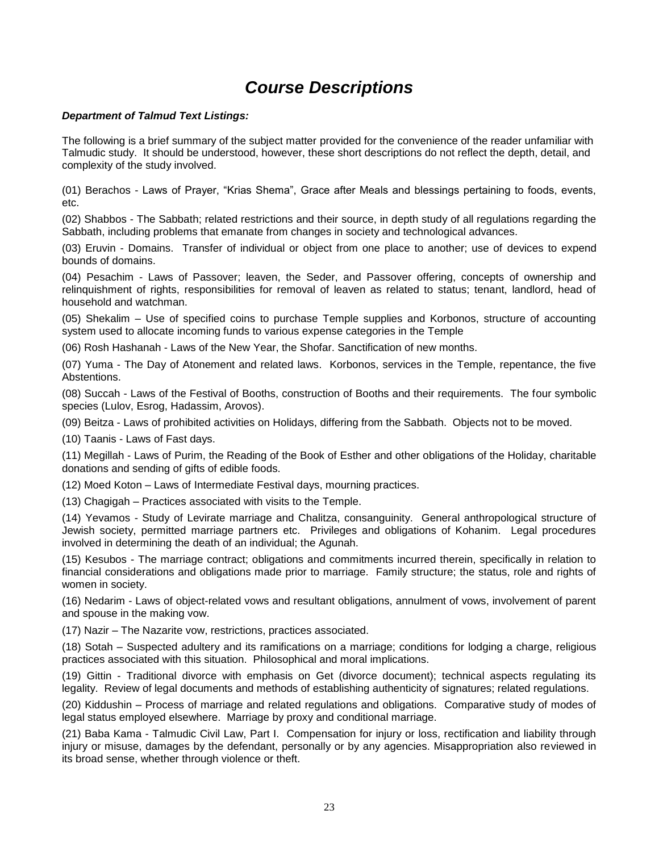# *Course Descriptions*

# *Department of Talmud Text Listings:*

The following is a brief summary of the subject matter provided for the convenience of the reader unfamiliar with Talmudic study. It should be understood, however, these short descriptions do not reflect the depth, detail, and complexity of the study involved.

(01) Berachos - Laws of Prayer, "Krias Shema", Grace after Meals and blessings pertaining to foods, events, etc.

(02) Shabbos - The Sabbath; related restrictions and their source, in depth study of all regulations regarding the Sabbath, including problems that emanate from changes in society and technological advances.

(03) Eruvin - Domains. Transfer of individual or object from one place to another; use of devices to expend bounds of domains.

(04) Pesachim - Laws of Passover; leaven, the Seder, and Passover offering, concepts of ownership and relinquishment of rights, responsibilities for removal of leaven as related to status; tenant, landlord, head of household and watchman.

(05) Shekalim – Use of specified coins to purchase Temple supplies and Korbonos, structure of accounting system used to allocate incoming funds to various expense categories in the Temple

(06) Rosh Hashanah - Laws of the New Year, the Shofar. Sanctification of new months.

(07) Yuma - The Day of Atonement and related laws. Korbonos, services in the Temple, repentance, the five Abstentions.

(08) Succah - Laws of the Festival of Booths, construction of Booths and their requirements. The four symbolic species (Lulov, Esrog, Hadassim, Arovos).

(09) Beitza - Laws of prohibited activities on Holidays, differing from the Sabbath. Objects not to be moved.

(10) Taanis - Laws of Fast days.

(11) Megillah - Laws of Purim, the Reading of the Book of Esther and other obligations of the Holiday, charitable donations and sending of gifts of edible foods.

(12) Moed Koton – Laws of Intermediate Festival days, mourning practices.

(13) Chagigah – Practices associated with visits to the Temple.

(14) Yevamos - Study of Levirate marriage and Chalitza, consanguinity. General anthropological structure of Jewish society, permitted marriage partners etc. Privileges and obligations of Kohanim. Legal procedures involved in determining the death of an individual; the Agunah.

(15) Kesubos - The marriage contract; obligations and commitments incurred therein, specifically in relation to financial considerations and obligations made prior to marriage. Family structure; the status, role and rights of women in society.

(16) Nedarim - Laws of object-related vows and resultant obligations, annulment of vows, involvement of parent and spouse in the making vow.

(17) Nazir – The Nazarite vow, restrictions, practices associated.

(18) Sotah – Suspected adultery and its ramifications on a marriage; conditions for lodging a charge, religious practices associated with this situation. Philosophical and moral implications.

(19) Gittin - Traditional divorce with emphasis on Get (divorce document); technical aspects regulating its legality. Review of legal documents and methods of establishing authenticity of signatures; related regulations.

(20) Kiddushin – Process of marriage and related regulations and obligations. Comparative study of modes of legal status employed elsewhere. Marriage by proxy and conditional marriage.

(21) Baba Kama - Talmudic Civil Law, Part I. Compensation for injury or loss, rectification and liability through injury or misuse, damages by the defendant, personally or by any agencies. Misappropriation also reviewed in its broad sense, whether through violence or theft.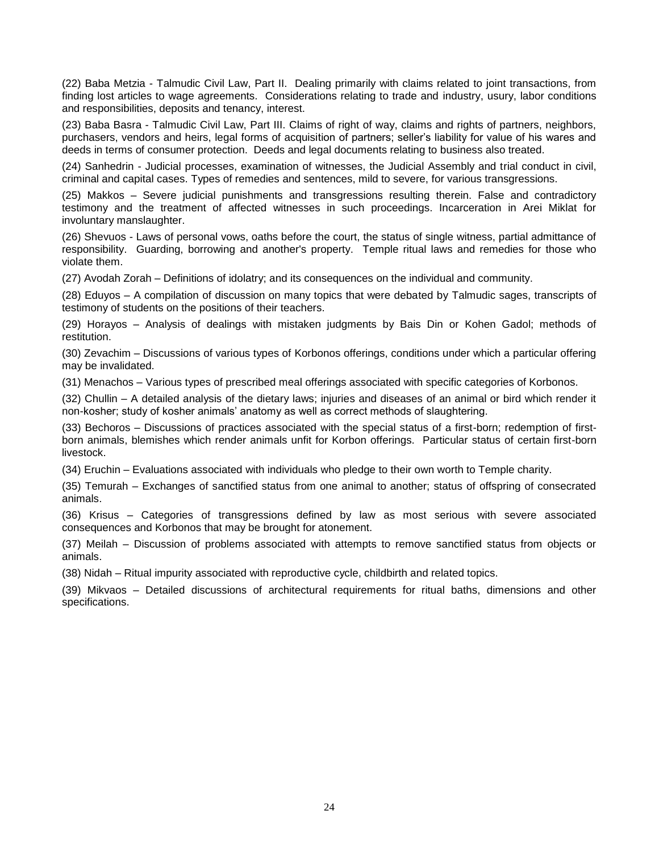(22) Baba Metzia - Talmudic Civil Law, Part II. Dealing primarily with claims related to joint transactions, from finding lost articles to wage agreements. Considerations relating to trade and industry, usury, labor conditions and responsibilities, deposits and tenancy, interest.

(23) Baba Basra - Talmudic Civil Law, Part III. Claims of right of way, claims and rights of partners, neighbors, purchasers, vendors and heirs, legal forms of acquisition of partners; seller's liability for value of his wares and deeds in terms of consumer protection. Deeds and legal documents relating to business also treated.

(24) Sanhedrin - Judicial processes, examination of witnesses, the Judicial Assembly and trial conduct in civil, criminal and capital cases. Types of remedies and sentences, mild to severe, for various transgressions.

(25) Makkos – Severe judicial punishments and transgressions resulting therein. False and contradictory testimony and the treatment of affected witnesses in such proceedings. Incarceration in Arei Miklat for involuntary manslaughter.

(26) Shevuos - Laws of personal vows, oaths before the court, the status of single witness, partial admittance of responsibility. Guarding, borrowing and another's property. Temple ritual laws and remedies for those who violate them.

(27) Avodah Zorah – Definitions of idolatry; and its consequences on the individual and community.

(28) Eduyos – A compilation of discussion on many topics that were debated by Talmudic sages, transcripts of testimony of students on the positions of their teachers.

(29) Horayos – Analysis of dealings with mistaken judgments by Bais Din or Kohen Gadol; methods of restitution.

(30) Zevachim – Discussions of various types of Korbonos offerings, conditions under which a particular offering may be invalidated.

(31) Menachos – Various types of prescribed meal offerings associated with specific categories of Korbonos.

(32) Chullin – A detailed analysis of the dietary laws; injuries and diseases of an animal or bird which render it non-kosher; study of kosher animals' anatomy as well as correct methods of slaughtering.

(33) Bechoros – Discussions of practices associated with the special status of a first-born; redemption of firstborn animals, blemishes which render animals unfit for Korbon offerings. Particular status of certain first-born livestock.

(34) Eruchin – Evaluations associated with individuals who pledge to their own worth to Temple charity.

(35) Temurah – Exchanges of sanctified status from one animal to another; status of offspring of consecrated animals.

(36) Krisus – Categories of transgressions defined by law as most serious with severe associated consequences and Korbonos that may be brought for atonement.

(37) Meilah – Discussion of problems associated with attempts to remove sanctified status from objects or animals.

(38) Nidah – Ritual impurity associated with reproductive cycle, childbirth and related topics.

(39) Mikvaos – Detailed discussions of architectural requirements for ritual baths, dimensions and other specifications.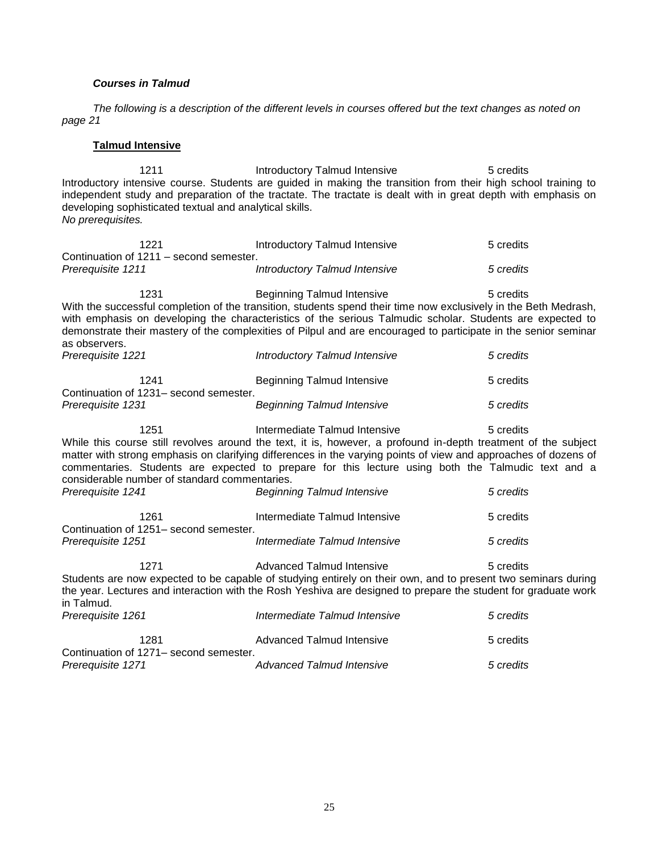# *Courses in Talmud*

*The following is a description of the different levels in courses offered but the text changes as noted on page 21*

# **Talmud Intensive**

1211 Introductory Talmud Intensive 5 credits Introductory intensive course. Students are guided in making the transition from their high school training to independent study and preparation of the tractate. The tractate is dealt with in great depth with emphasis on developing sophisticated textual and analytical skills. *No prerequisites.*

| 1221<br>Continuation of 1211 – second semester.                                                                                                                                                                                                                                                 | Introductory Talmud Intensive                                                                                                                                                                                                                                                                                                                                                                                 | 5 credits              |  |
|-------------------------------------------------------------------------------------------------------------------------------------------------------------------------------------------------------------------------------------------------------------------------------------------------|---------------------------------------------------------------------------------------------------------------------------------------------------------------------------------------------------------------------------------------------------------------------------------------------------------------------------------------------------------------------------------------------------------------|------------------------|--|
| Prerequisite 1211                                                                                                                                                                                                                                                                               | <b>Introductory Talmud Intensive</b>                                                                                                                                                                                                                                                                                                                                                                          | 5 credits              |  |
| 1231<br>as observers.                                                                                                                                                                                                                                                                           | <b>Beginning Talmud Intensive</b><br>With the successful completion of the transition, students spend their time now exclusively in the Beth Medrash,<br>with emphasis on developing the characteristics of the serious Talmudic scholar. Students are expected to<br>demonstrate their mastery of the complexities of Pilpul and are encouraged to participate in the senior seminar                         | 5 credits              |  |
| Prerequisite 1221                                                                                                                                                                                                                                                                               | Introductory Talmud Intensive                                                                                                                                                                                                                                                                                                                                                                                 | 5 credits              |  |
| 1241<br>Continuation of 1231- second semester.                                                                                                                                                                                                                                                  | <b>Beginning Talmud Intensive</b>                                                                                                                                                                                                                                                                                                                                                                             | 5 credits              |  |
| Prerequisite 1231                                                                                                                                                                                                                                                                               | <b>Beginning Talmud Intensive</b>                                                                                                                                                                                                                                                                                                                                                                             | 5 credits              |  |
| 1251<br>considerable number of standard commentaries.<br>Prerequisite 1241                                                                                                                                                                                                                      | Intermediate Talmud Intensive<br>While this course still revolves around the text, it is, however, a profound in-depth treatment of the subject<br>matter with strong emphasis on clarifying differences in the varying points of view and approaches of dozens of<br>commentaries. Students are expected to prepare for this lecture using both the Talmudic text and a<br><b>Beginning Talmud Intensive</b> | 5 credits<br>5 credits |  |
| 1261<br>Continuation of 1251- second semester.                                                                                                                                                                                                                                                  | Intermediate Talmud Intensive                                                                                                                                                                                                                                                                                                                                                                                 | 5 credits              |  |
| Prerequisite 1251                                                                                                                                                                                                                                                                               | Intermediate Talmud Intensive                                                                                                                                                                                                                                                                                                                                                                                 | 5 credits              |  |
| 1271<br>Advanced Talmud Intensive<br>5 credits<br>Students are now expected to be capable of studying entirely on their own, and to present two seminars during<br>the year. Lectures and interaction with the Rosh Yeshiva are designed to prepare the student for graduate work<br>in Talmud. |                                                                                                                                                                                                                                                                                                                                                                                                               |                        |  |
| Prerequisite 1261                                                                                                                                                                                                                                                                               | Intermediate Talmud Intensive                                                                                                                                                                                                                                                                                                                                                                                 | 5 credits              |  |
| 1281<br>Continuation of 1271– second semester.                                                                                                                                                                                                                                                  | <b>Advanced Talmud Intensive</b>                                                                                                                                                                                                                                                                                                                                                                              | 5 credits              |  |
| Prerequisite 1271                                                                                                                                                                                                                                                                               | <b>Advanced Talmud Intensive</b>                                                                                                                                                                                                                                                                                                                                                                              | 5 credits              |  |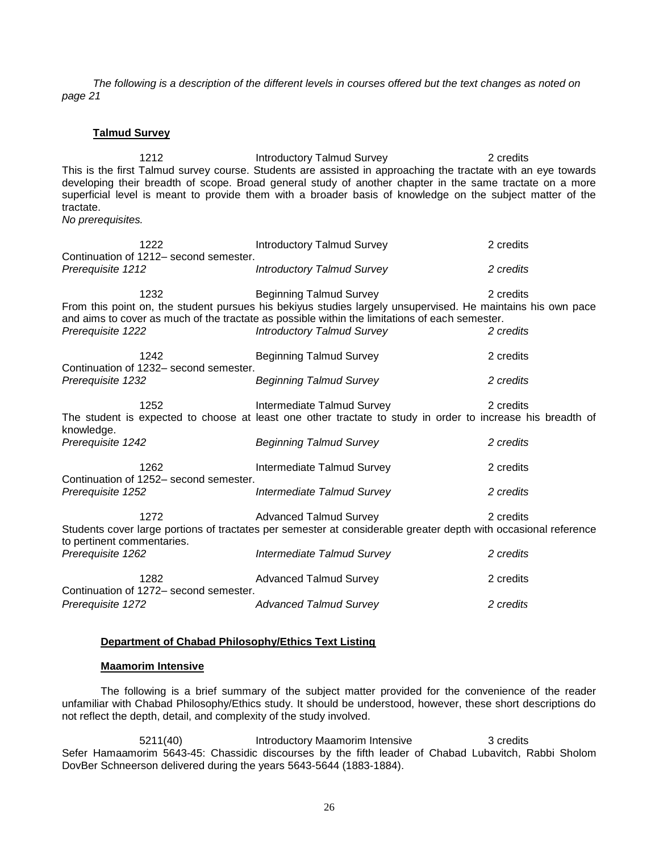*The following is a description of the different levels in courses offered but the text changes as noted on page 21*

# **Talmud Survey**

1212 **Introductory Talmud Survey** 2 credits This is the first Talmud survey course. Students are assisted in approaching the tractate with an eye towards developing their breadth of scope. Broad general study of another chapter in the same tractate on a more superficial level is meant to provide them with a broader basis of knowledge on the subject matter of the tractate.

*No prerequisites.*

|                            | 1222                                           | <b>Introductory Talmud Survey</b>                                                                                                                                                                                                                                                    | 2 credits              |
|----------------------------|------------------------------------------------|--------------------------------------------------------------------------------------------------------------------------------------------------------------------------------------------------------------------------------------------------------------------------------------|------------------------|
| Prerequisite 1212          | Continuation of 1212- second semester.         | <b>Introductory Talmud Survey</b>                                                                                                                                                                                                                                                    | 2 credits              |
| Prerequisite 1222          | 1232                                           | <b>Beginning Talmud Survey</b><br>From this point on, the student pursues his bekiyus studies largely unsupervised. He maintains his own pace<br>and aims to cover as much of the tractate as possible within the limitations of each semester.<br><b>Introductory Talmud Survey</b> | 2 credits<br>2 credits |
|                            | 1242                                           | <b>Beginning Talmud Survey</b>                                                                                                                                                                                                                                                       | 2 credits              |
| Prerequisite 1232          | Continuation of 1232– second semester.         | <b>Beginning Talmud Survey</b>                                                                                                                                                                                                                                                       | 2 credits              |
| knowledge.                 | 1252                                           | Intermediate Talmud Survey<br>The student is expected to choose at least one other tractate to study in order to increase his breadth of                                                                                                                                             | 2 credits              |
| Prerequisite 1242          |                                                | <b>Beginning Talmud Survey</b>                                                                                                                                                                                                                                                       | 2 credits              |
|                            | 1262<br>Continuation of 1252– second semester. | Intermediate Talmud Survey                                                                                                                                                                                                                                                           | 2 credits              |
| Prereguisite 1252          |                                                | Intermediate Talmud Survey                                                                                                                                                                                                                                                           | 2 credits              |
| to pertinent commentaries. | 1272                                           | <b>Advanced Talmud Survey</b><br>Students cover large portions of tractates per semester at considerable greater depth with occasional reference                                                                                                                                     | 2 credits              |
| Prerequisite 1262          |                                                | Intermediate Talmud Survey                                                                                                                                                                                                                                                           | 2 credits              |
|                            | 1282<br>Continuation of 1272- second semester. | <b>Advanced Talmud Survey</b>                                                                                                                                                                                                                                                        | 2 credits              |
| Prerequisite 1272          |                                                | <b>Advanced Talmud Survey</b>                                                                                                                                                                                                                                                        | 2 credits              |

# **Department of Chabad Philosophy/Ethics Text Listing**

# **Maamorim Intensive**

The following is a brief summary of the subject matter provided for the convenience of the reader unfamiliar with Chabad Philosophy/Ethics study. It should be understood, however, these short descriptions do not reflect the depth, detail, and complexity of the study involved.

5211(40) Introductory Maamorim Intensive 3 credits Sefer Hamaamorim 5643-45: Chassidic discourses by the fifth leader of Chabad Lubavitch, Rabbi Sholom DovBer Schneerson delivered during the years 5643-5644 (1883-1884).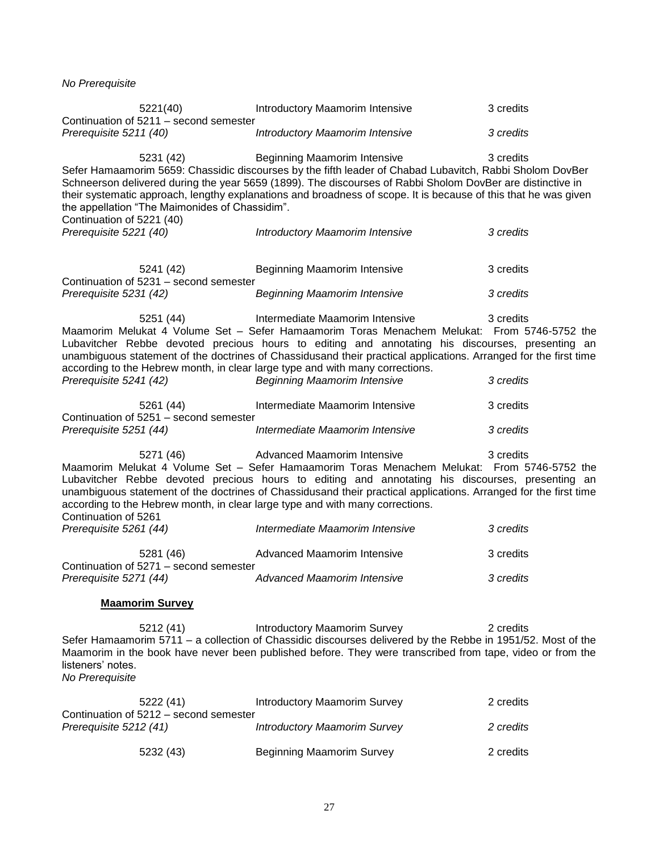*No Prerequisite*

| 5221(40)<br>Continuation of 5211 - second semester                                                                 | Introductory Maamorim Intensive                                                                                                                                                                                                                                                                                                                                           | 3 credits |
|--------------------------------------------------------------------------------------------------------------------|---------------------------------------------------------------------------------------------------------------------------------------------------------------------------------------------------------------------------------------------------------------------------------------------------------------------------------------------------------------------------|-----------|
| Prerequisite 5211 (40)                                                                                             | Introductory Maamorim Intensive                                                                                                                                                                                                                                                                                                                                           | 3 credits |
| 5231 (42)<br>the appellation "The Maimonides of Chassidim".<br>Continuation of 5221 (40)                           | Beginning Maamorim Intensive<br>Sefer Hamaamorim 5659: Chassidic discourses by the fifth leader of Chabad Lubavitch, Rabbi Sholom DovBer<br>Schneerson delivered during the year 5659 (1899). The discourses of Rabbi Sholom DovBer are distinctive in<br>their systematic approach, lengthy explanations and broadness of scope. It is because of this that he was given | 3 credits |
| Prerequisite 5221 (40)                                                                                             | Introductory Maamorim Intensive                                                                                                                                                                                                                                                                                                                                           | 3 credits |
| 5241 (42)<br>Continuation of 5231 - second semester                                                                | Beginning Maamorim Intensive                                                                                                                                                                                                                                                                                                                                              | 3 credits |
| Prerequisite 5231 (42)                                                                                             | <b>Beginning Maamorim Intensive</b>                                                                                                                                                                                                                                                                                                                                       | 3 credits |
| 5251 (44)<br>according to the Hebrew month, in clear large type and with many corrections.                         | Intermediate Maamorim Intensive<br>Maamorim Melukat 4 Volume Set - Sefer Hamaamorim Toras Menachem Melukat: From 5746-5752 the<br>Lubavitcher Rebbe devoted precious hours to editing and annotating his discourses, presenting an<br>unambiguous statement of the doctrines of Chassidusand their practical applications. Arranged for the first time                    | 3 credits |
| Prerequisite 5241 (42)                                                                                             | <b>Beginning Maamorim Intensive</b>                                                                                                                                                                                                                                                                                                                                       | 3 credits |
| 5261 (44)<br>Continuation of 5251 - second semester                                                                | Intermediate Maamorim Intensive                                                                                                                                                                                                                                                                                                                                           | 3 credits |
| Prerequisite 5251 (44)                                                                                             | Intermediate Maamorim Intensive                                                                                                                                                                                                                                                                                                                                           | 3 credits |
| 5271 (46)<br>according to the Hebrew month, in clear large type and with many corrections.<br>Continuation of 5261 | Advanced Maamorim Intensive<br>Maamorim Melukat 4 Volume Set - Sefer Hamaamorim Toras Menachem Melukat: From 5746-5752 the<br>Lubavitcher Rebbe devoted precious hours to editing and annotating his discourses, presenting an<br>unambiguous statement of the doctrines of Chassidusand their practical applications. Arranged for the first time                        | 3 credits |
| Prerequisite 5261 (44)                                                                                             | Intermediate Maamorim Intensive                                                                                                                                                                                                                                                                                                                                           | 3 credits |
| 5281 (46)<br>Continuation of 5271 - second semester                                                                | Advanced Maamorim Intensive                                                                                                                                                                                                                                                                                                                                               | 3 credits |
| Prerequisite 5271 (44)                                                                                             | <b>Advanced Maamorim Intensive</b>                                                                                                                                                                                                                                                                                                                                        | 3 credits |
| <b>Maamorim Survey</b>                                                                                             |                                                                                                                                                                                                                                                                                                                                                                           |           |
| 5212(41)<br>listeners' notes.<br>No Prerequisite                                                                   | <b>Introductory Maamorim Survey</b><br>Sefer Hamaamorim 5711 - a collection of Chassidic discourses delivered by the Rebbe in 1951/52. Most of the<br>Maamorim in the book have never been published before. They were transcribed from tape, video or from the                                                                                                           | 2 credits |
| 5222 (41)<br>Continuation of 5212 - second semester                                                                | <b>Introductory Maamorim Survey</b>                                                                                                                                                                                                                                                                                                                                       | 2 credits |
| Prerequisite 5212 (41)                                                                                             | <b>Introductory Maamorim Survey</b>                                                                                                                                                                                                                                                                                                                                       | 2 credits |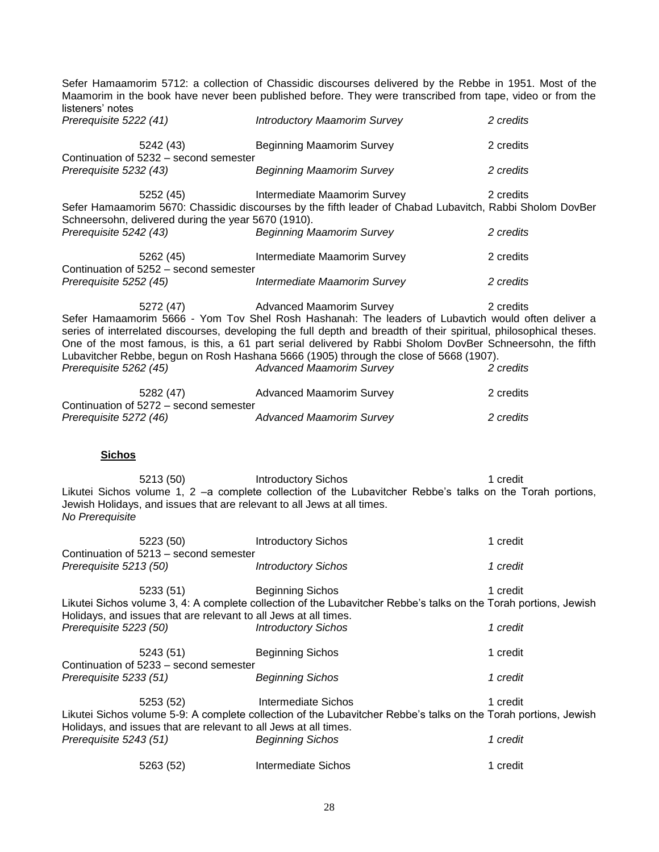Sefer Hamaamorim 5712: a collection of Chassidic discourses delivered by the Rebbe in 1951. Most of the Maamorim in the book have never been published before. They were transcribed from tape, video or from the listeners' notes

| Prerequisite 5222 (41)                                           | <b>Introductory Maamorim Survey</b>                                                                                                                                                                                                                                                                                                                                                                                                                                                                      | 2 credits              |
|------------------------------------------------------------------|----------------------------------------------------------------------------------------------------------------------------------------------------------------------------------------------------------------------------------------------------------------------------------------------------------------------------------------------------------------------------------------------------------------------------------------------------------------------------------------------------------|------------------------|
| 5242 (43)                                                        | Beginning Maamorim Survey                                                                                                                                                                                                                                                                                                                                                                                                                                                                                | 2 credits              |
| Continuation of 5232 - second semester<br>Prerequisite 5232 (43) | <b>Beginning Maamorim Survey</b>                                                                                                                                                                                                                                                                                                                                                                                                                                                                         | 2 credits              |
| 5252 (45)<br>Schneersohn, delivered during the year 5670 (1910). | Intermediate Maamorim Survey<br>Sefer Hamaamorim 5670: Chassidic discourses by the fifth leader of Chabad Lubavitch, Rabbi Sholom DovBer                                                                                                                                                                                                                                                                                                                                                                 | 2 credits              |
| Prerequisite 5242 (43)                                           | <b>Beginning Maamorim Survey</b>                                                                                                                                                                                                                                                                                                                                                                                                                                                                         | 2 credits              |
| Continuation of 5252 – second semester                           | 5262 (45) Intermediate Maamorim Survey                                                                                                                                                                                                                                                                                                                                                                                                                                                                   | 2 credits              |
| Prerequisite 5252 (45)                                           | Intermediate Maamorim Survey                                                                                                                                                                                                                                                                                                                                                                                                                                                                             | 2 credits              |
| Prerequisite 5262 (45)                                           | 5272 (47) Advanced Maamorim Survey<br>Sefer Hamaamorim 5666 - Yom Tov Shel Rosh Hashanah: The leaders of Lubavtich would often deliver a<br>series of interrelated discourses, developing the full depth and breadth of their spiritual, philosophical theses.<br>One of the most famous, is this, a 61 part serial delivered by Rabbi Sholom DovBer Schneersohn, the fifth<br>Lubavitcher Rebbe, begun on Rosh Hashana 5666 (1905) through the close of 5668 (1907).<br><b>Advanced Maamorim Survey</b> | 2 credits<br>2 credits |
|                                                                  | 5282 (47) Advanced Maamorim Survey                                                                                                                                                                                                                                                                                                                                                                                                                                                                       | 2 credits              |
| Continuation of 5272 - second semester<br>Prerequisite 5272 (46) | <b>Advanced Maamorim Survey</b>                                                                                                                                                                                                                                                                                                                                                                                                                                                                          | 2 credits              |

**Sichos**

5213 (50) Introductory Sichos 1 credit Likutei Sichos volume 1, 2 –a complete collection of the Lubavitcher Rebbe's talks on the Torah portions, Jewish Holidays, and issues that are relevant to all Jews at all times. *No Prerequisite*

| 5223 (50)<br>Continuation of 5213 - second semester                           | <b>Introductory Sichos</b>                                                                                                                  | 1 credit |
|-------------------------------------------------------------------------------|---------------------------------------------------------------------------------------------------------------------------------------------|----------|
| Prerequisite 5213 (50)                                                        | <b>Introductory Sichos</b>                                                                                                                  | 1 credit |
| 5233 (51)<br>Holidays, and issues that are relevant to all Jews at all times. | <b>Beginning Sichos</b><br>Likutei Sichos volume 3, 4: A complete collection of the Lubavitcher Rebbe's talks on the Torah portions, Jewish | 1 credit |
| Prerequisite 5223 (50)                                                        | <b>Introductory Sichos</b>                                                                                                                  | 1 credit |
| 5243 (51)<br>Continuation of 5233 – second semester                           | <b>Beginning Sichos</b>                                                                                                                     | 1 credit |
| Prerequisite 5233 (51)                                                        | <b>Beginning Sichos</b>                                                                                                                     | 1 credit |
| 5253 (52)                                                                     | Intermediate Sichos                                                                                                                         | 1 credit |
| Holidays, and issues that are relevant to all Jews at all times.              | Likutei Sichos volume 5-9: A complete collection of the Lubavitcher Rebbe's talks on the Torah portions, Jewish                             |          |
| Prerequisite 5243 (51)                                                        | <b>Beginning Sichos</b>                                                                                                                     | 1 credit |
| 5263 (52)                                                                     | Intermediate Sichos                                                                                                                         | 1 credit |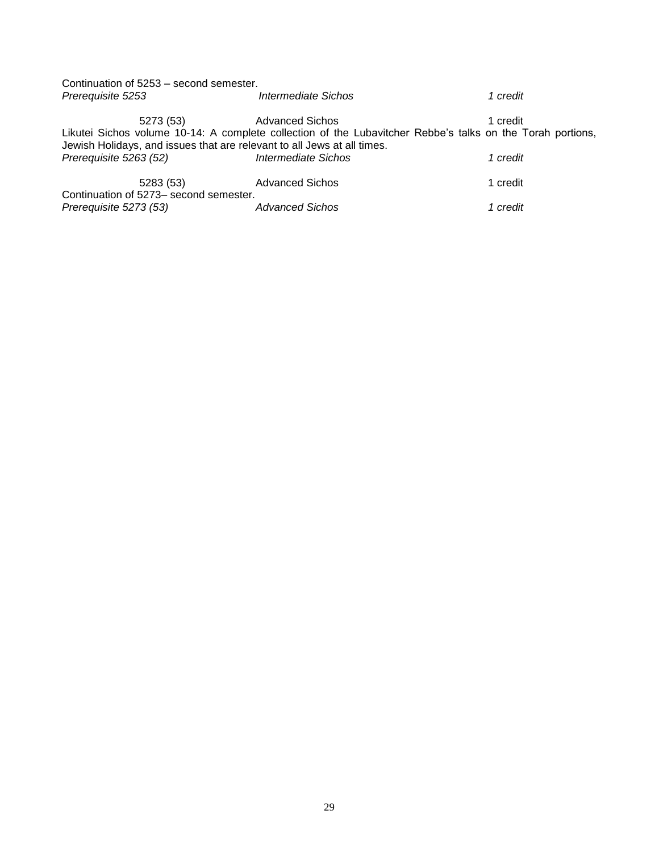| Continuation of 5253 - second semester. |                                                                                                                                                                                       |          |
|-----------------------------------------|---------------------------------------------------------------------------------------------------------------------------------------------------------------------------------------|----------|
| Prerequisite 5253                       | Intermediate Sichos                                                                                                                                                                   | 1 credit |
| 5273 (53)                               | <b>Advanced Sichos</b>                                                                                                                                                                | 1 credit |
|                                         | Likutei Sichos volume 10-14: A complete collection of the Lubavitcher Rebbe's talks on the Torah portions,<br>Jewish Holidays, and issues that are relevant to all Jews at all times. |          |
| Prerequisite 5263 (52)                  | Intermediate Sichos                                                                                                                                                                   | 1 credit |
| 5283 (53)                               | <b>Advanced Sichos</b>                                                                                                                                                                | 1 credit |
| Continuation of 5273- second semester.  |                                                                                                                                                                                       |          |
| Prerequisite 5273 (53)                  | <b>Advanced Sichos</b>                                                                                                                                                                | 1 credit |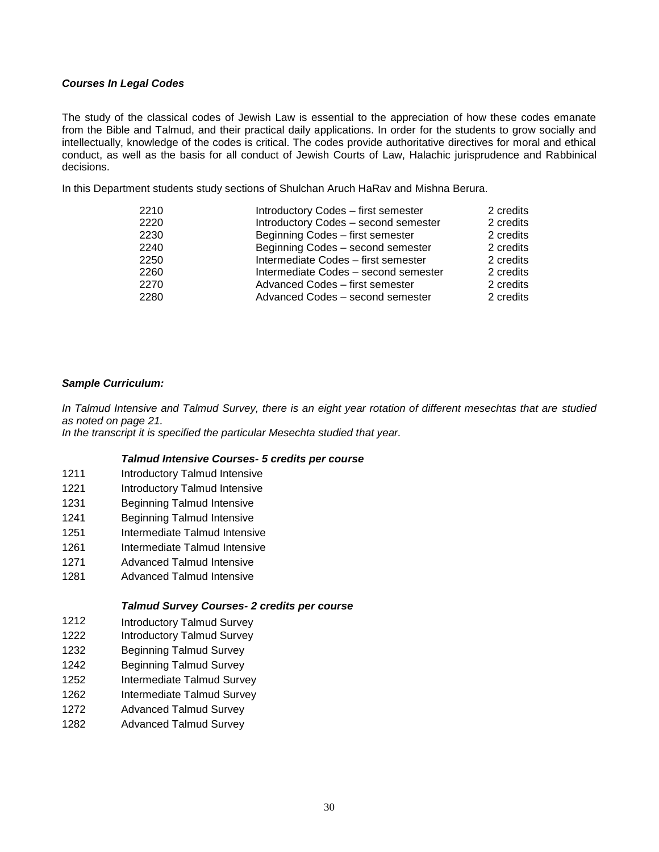# *Courses In Legal Codes*

The study of the classical codes of Jewish Law is essential to the appreciation of how these codes emanate from the Bible and Talmud, and their practical daily applications. In order for the students to grow socially and intellectually, knowledge of the codes is critical. The codes provide authoritative directives for moral and ethical conduct, as well as the basis for all conduct of Jewish Courts of Law, Halachic jurisprudence and Rabbinical decisions.

In this Department students study sections of Shulchan Aruch HaRav and Mishna Berura.

| 2210 | Introductory Codes - first semester  | 2 credits |
|------|--------------------------------------|-----------|
| 2220 | Introductory Codes - second semester | 2 credits |
| 2230 | Beginning Codes - first semester     | 2 credits |
| 2240 | Beginning Codes - second semester    | 2 credits |
| 2250 | Intermediate Codes - first semester  | 2 credits |
| 2260 | Intermediate Codes - second semester | 2 credits |
| 2270 | Advanced Codes – first semester      | 2 credits |
| 2280 | Advanced Codes – second semester     | 2 credits |

# *Sample Curriculum:*

*In Talmud Intensive and Talmud Survey, there is an eight year rotation of different mesechtas that are studied as noted on page 21.*

*In the transcript it is specified the particular Mesechta studied that year.*

# *Talmud Intensive Courses- 5 credits per course*

- 1211 Introductory Talmud Intensive
- 1221 Introductory Talmud Intensive
- 1231 Beginning Talmud Intensive
- 1241 Beginning Talmud Intensive
- 1251 Intermediate Talmud Intensive
- 1261 Intermediate Talmud Intensive
- 1271 Advanced Talmud Intensive
- 1281 Advanced Talmud Intensive

# *Talmud Survey Courses- 2 credits per course*

- 1212 Introductory Talmud Survey
- 1222 Introductory Talmud Survey
- 1232 Beginning Talmud Survey
- 1242 Beginning Talmud Survey
- 1252 Intermediate Talmud Survey
- 1262 Intermediate Talmud Survey
- 1272 Advanced Talmud Survey
- 1282 Advanced Talmud Survey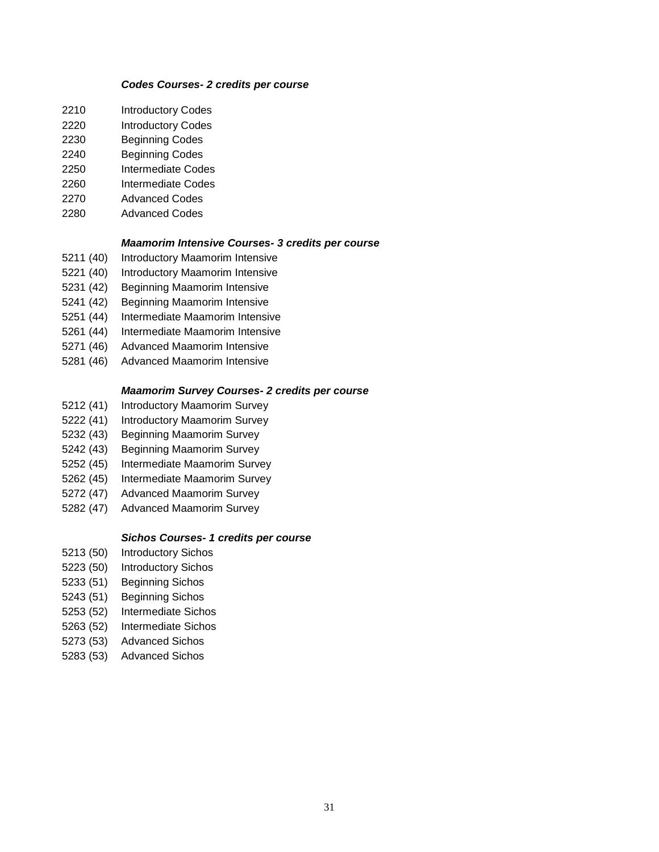#### *Codes Courses- 2 credits per course*

- Introductory Codes
- Introductory Codes
- Beginning Codes
- Beginning Codes
- Intermediate Codes
- Intermediate Codes
- Advanced Codes
- Advanced Codes

# *Maamorim Intensive Courses- 3 credits per course*

- (40) Introductory Maamorim Intensive
- (40) Introductory Maamorim Intensive
- (42) Beginning Maamorim Intensive
- (42) Beginning Maamorim Intensive
- (44) Intermediate Maamorim Intensive
- (44) Intermediate Maamorim Intensive
- (46) Advanced Maamorim Intensive
- (46) Advanced Maamorim Intensive

# *Maamorim Survey Courses- 2 credits per course*

- (41) Introductory Maamorim Survey
- (41) Introductory Maamorim Survey
- (43) Beginning Maamorim Survey
- (43) Beginning Maamorim Survey
- (45) Intermediate Maamorim Survey
- (45) Intermediate Maamorim Survey
- (47) Advanced Maamorim Survey
- (47) Advanced Maamorim Survey

# *Sichos Courses- 1 credits per course*

- (50) Introductory Sichos
- (50) Introductory Sichos
- (51) Beginning Sichos
- (51) Beginning Sichos
- (52) Intermediate Sichos
- (52) Intermediate Sichos
- (53) Advanced Sichos
- (53) Advanced Sichos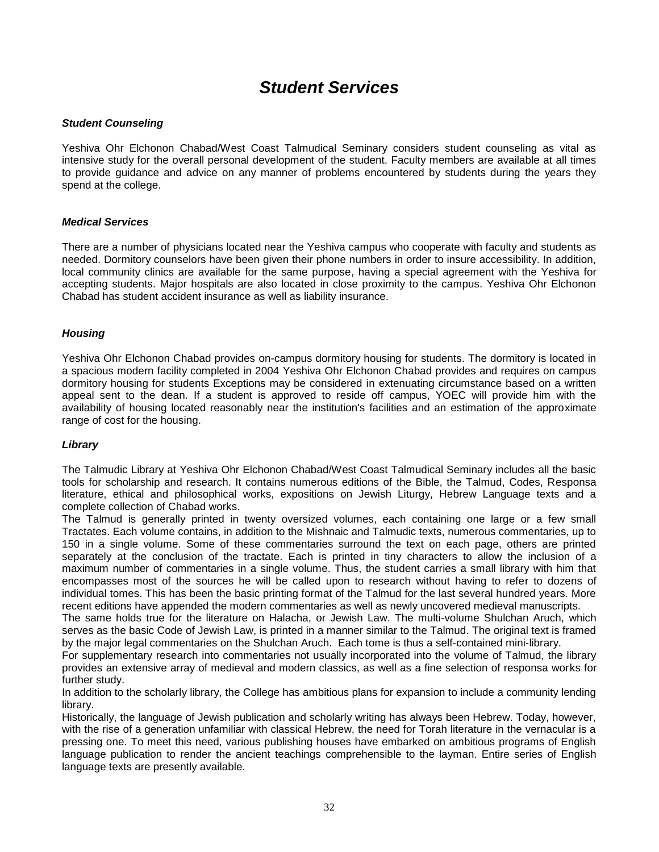# *Student Services*

# <span id="page-31-1"></span><span id="page-31-0"></span>*Student Counseling*

Yeshiva Ohr Elchonon Chabad/West Coast Talmudical Seminary considers student counseling as vital as intensive study for the overall personal development of the student. Faculty members are available at all times to provide guidance and advice on any manner of problems encountered by students during the years they spend at the college.

# <span id="page-31-2"></span>*Medical Services*

There are a number of physicians located near the Yeshiva campus who cooperate with faculty and students as needed. Dormitory counselors have been given their phone numbers in order to insure accessibility. In addition, local community clinics are available for the same purpose, having a special agreement with the Yeshiva for accepting students. Major hospitals are also located in close proximity to the campus. Yeshiva Ohr Elchonon Chabad has student accident insurance as well as liability insurance.

# <span id="page-31-3"></span>*Housing*

Yeshiva Ohr Elchonon Chabad provides on-campus dormitory housing for students. The dormitory is located in a spacious modern facility completed in 2004 Yeshiva Ohr Elchonon Chabad provides and requires on campus dormitory housing for students Exceptions may be considered in extenuating circumstance based on a written appeal sent to the dean. If a student is approved to reside off campus, YOEC will provide him with the availability of housing located reasonably near the institution's facilities and an estimation of the approximate range of cost for the housing.

# <span id="page-31-4"></span>*Library*

The Talmudic Library at Yeshiva Ohr Elchonon Chabad/West Coast Talmudical Seminary includes all the basic tools for scholarship and research. It contains numerous editions of the Bible, the Talmud, Codes, Responsa literature, ethical and philosophical works, expositions on Jewish Liturgy, Hebrew Language texts and a complete collection of Chabad works.

The Talmud is generally printed in twenty oversized volumes, each containing one large or a few small Tractates. Each volume contains, in addition to the Mishnaic and Talmudic texts, numerous commentaries, up to 150 in a single volume. Some of these commentaries surround the text on each page, others are printed separately at the conclusion of the tractate. Each is printed in tiny characters to allow the inclusion of a maximum number of commentaries in a single volume. Thus, the student carries a small library with him that encompasses most of the sources he will be called upon to research without having to refer to dozens of individual tomes. This has been the basic printing format of the Talmud for the last several hundred years. More recent editions have appended the modern commentaries as well as newly uncovered medieval manuscripts.

The same holds true for the literature on Halacha, or Jewish Law. The multi-volume Shulchan Aruch, which serves as the basic Code of Jewish Law, is printed in a manner similar to the Talmud. The original text is framed by the major legal commentaries on the Shulchan Aruch. Each tome is thus a self-contained mini-library.

For supplementary research into commentaries not usually incorporated into the volume of Talmud, the library provides an extensive array of medieval and modern classics, as well as a fine selection of responsa works for further study.

In addition to the scholarly library, the College has ambitious plans for expansion to include a community lending library.

Historically, the language of Jewish publication and scholarly writing has always been Hebrew. Today, however, with the rise of a generation unfamiliar with classical Hebrew, the need for Torah literature in the vernacular is a pressing one. To meet this need, various publishing houses have embarked on ambitious programs of English language publication to render the ancient teachings comprehensible to the layman. Entire series of English language texts are presently available.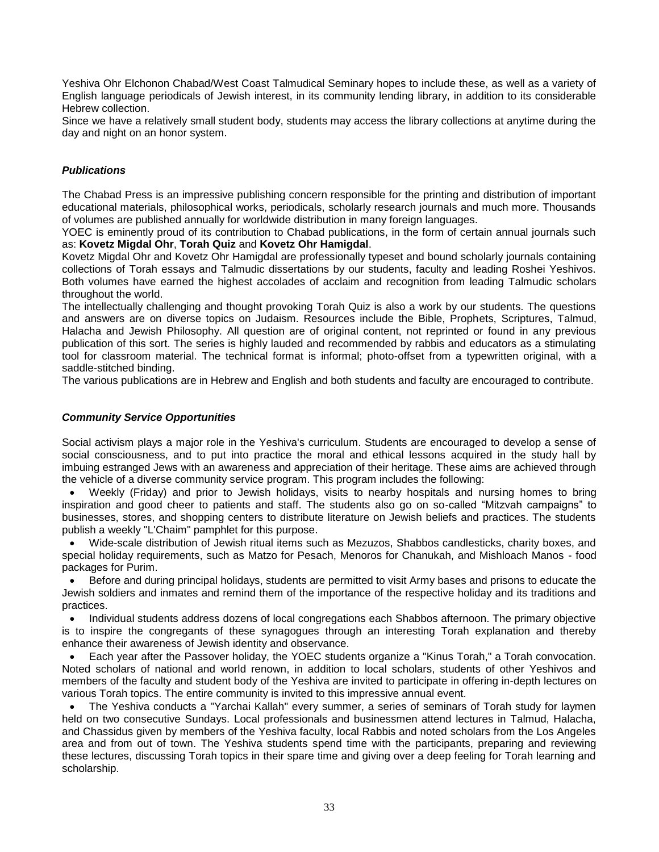Yeshiva Ohr Elchonon Chabad/West Coast Talmudical Seminary hopes to include these, as well as a variety of English language periodicals of Jewish interest, in its community lending library, in addition to its considerable Hebrew collection.

Since we have a relatively small student body, students may access the library collections at anytime during the day and night on an honor system.

# <span id="page-32-0"></span>*Publications*

The Chabad Press is an impressive publishing concern responsible for the printing and distribution of important educational materials, philosophical works, periodicals, scholarly research journals and much more. Thousands of volumes are published annually for worldwide distribution in many foreign languages.

YOEC is eminently proud of its contribution to Chabad publications, in the form of certain annual journals such as: **Kovetz Migdal Ohr**, **Torah Quiz** and **Kovetz Ohr Hamigdal**.

Kovetz Migdal Ohr and Kovetz Ohr Hamigdal are professionally typeset and bound scholarly journals containing collections of Torah essays and Talmudic dissertations by our students, faculty and leading Roshei Yeshivos. Both volumes have earned the highest accolades of acclaim and recognition from leading Talmudic scholars throughout the world.

The intellectually challenging and thought provoking Torah Quiz is also a work by our students. The questions and answers are on diverse topics on Judaism. Resources include the Bible, Prophets, Scriptures, Talmud, Halacha and Jewish Philosophy. All question are of original content, not reprinted or found in any previous publication of this sort. The series is highly lauded and recommended by rabbis and educators as a stimulating tool for classroom material. The technical format is informal; photo-offset from a typewritten original, with a saddle-stitched binding.

The various publications are in Hebrew and English and both students and faculty are encouraged to contribute.

# <span id="page-32-1"></span>*Community Service Opportunities*

Social activism plays a major role in the Yeshiva's curriculum. Students are encouraged to develop a sense of social consciousness, and to put into practice the moral and ethical lessons acquired in the study hall by imbuing estranged Jews with an awareness and appreciation of their heritage. These aims are achieved through the vehicle of a diverse community service program. This program includes the following:

 Weekly (Friday) and prior to Jewish holidays, visits to nearby hospitals and nursing homes to bring inspiration and good cheer to patients and staff. The students also go on so-called "Mitzvah campaigns" to businesses, stores, and shopping centers to distribute literature on Jewish beliefs and practices. The students publish a weekly "L'Chaim" pamphlet for this purpose.

 Wide-scale distribution of Jewish ritual items such as Mezuzos, Shabbos candlesticks, charity boxes, and special holiday requirements, such as Matzo for Pesach, Menoros for Chanukah, and Mishloach Manos - food packages for Purim.

 Before and during principal holidays, students are permitted to visit Army bases and prisons to educate the Jewish soldiers and inmates and remind them of the importance of the respective holiday and its traditions and practices.

 Individual students address dozens of local congregations each Shabbos afternoon. The primary objective is to inspire the congregants of these synagogues through an interesting Torah explanation and thereby enhance their awareness of Jewish identity and observance.

 Each year after the Passover holiday, the YOEC students organize a "Kinus Torah," a Torah convocation. Noted scholars of national and world renown, in addition to local scholars, students of other Yeshivos and members of the faculty and student body of the Yeshiva are invited to participate in offering in-depth lectures on various Torah topics. The entire community is invited to this impressive annual event.

 The Yeshiva conducts a "Yarchai Kallah" every summer, a series of seminars of Torah study for laymen held on two consecutive Sundays. Local professionals and businessmen attend lectures in Talmud, Halacha, and Chassidus given by members of the Yeshiva faculty, local Rabbis and noted scholars from the Los Angeles area and from out of town. The Yeshiva students spend time with the participants, preparing and reviewing these lectures, discussing Torah topics in their spare time and giving over a deep feeling for Torah learning and scholarship.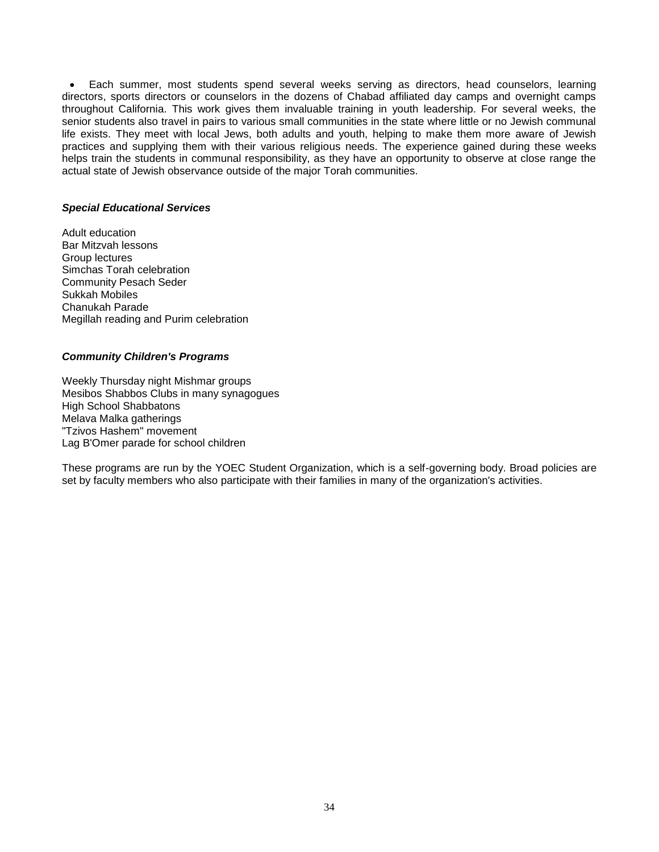Each summer, most students spend several weeks serving as directors, head counselors, learning directors, sports directors or counselors in the dozens of Chabad affiliated day camps and overnight camps throughout California. This work gives them invaluable training in youth leadership. For several weeks, the senior students also travel in pairs to various small communities in the state where little or no Jewish communal life exists. They meet with local Jews, both adults and youth, helping to make them more aware of Jewish practices and supplying them with their various religious needs. The experience gained during these weeks helps train the students in communal responsibility, as they have an opportunity to observe at close range the actual state of Jewish observance outside of the major Torah communities.

#### <span id="page-33-0"></span>*Special Educational Services*

Adult education Bar Mitzvah lessons Group lectures Simchas Torah celebration Community Pesach Seder Sukkah Mobiles Chanukah Parade Megillah reading and Purim celebration

# <span id="page-33-1"></span>*Community Children's Programs*

Weekly Thursday night Mishmar groups Mesibos Shabbos Clubs in many synagogues High School Shabbatons Melava Malka gatherings "Tzivos Hashem" movement Lag B'Omer parade for school children

These programs are run by the YOEC Student Organization, which is a self-governing body. Broad policies are set by faculty members who also participate with their families in many of the organization's activities.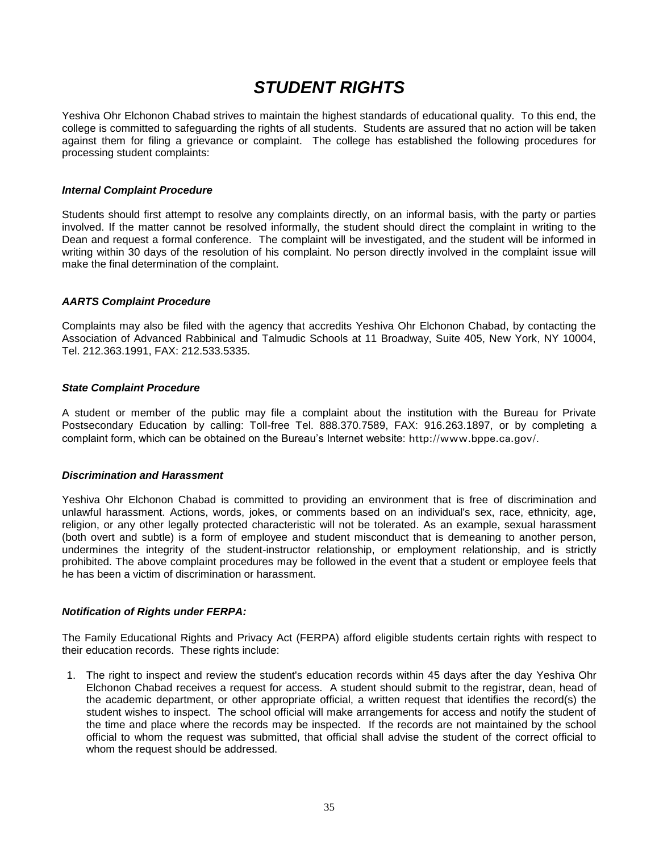# *STUDENT RIGHTS*

<span id="page-34-0"></span>Yeshiva Ohr Elchonon Chabad strives to maintain the highest standards of educational quality. To this end, the college is committed to safeguarding the rights of all students. Students are assured that no action will be taken against them for filing a grievance or complaint. The college has established the following procedures for processing student complaints:

# <span id="page-34-1"></span>*Internal Complaint Procedure*

Students should first attempt to resolve any complaints directly, on an informal basis, with the party or parties involved. If the matter cannot be resolved informally, the student should direct the complaint in writing to the Dean and request a formal conference. The complaint will be investigated, and the student will be informed in writing within 30 days of the resolution of his complaint. No person directly involved in the complaint issue will make the final determination of the complaint.

# <span id="page-34-2"></span>*AARTS Complaint Procedure*

Complaints may also be filed with the agency that accredits Yeshiva Ohr Elchonon Chabad, by contacting the Association of Advanced Rabbinical and Talmudic Schools at 11 Broadway, Suite 405, New York, NY 10004, Tel. 212.363.1991, FAX: 212.533.5335.

# <span id="page-34-3"></span>*State Complaint Procedure*

A student or member of the public may file a complaint about the institution with the Bureau for Private Postsecondary Education by calling: Toll-free Tel. 888.370.7589, FAX: 916.263.1897, or by completing a complaint form, which can be obtained on the Bureau's Internet website: <http://www.bppe.ca.gov/>.

# <span id="page-34-4"></span>*Discrimination and Harassment*

Yeshiva Ohr Elchonon Chabad is committed to providing an environment that is free of discrimination and unlawful harassment. Actions, words, jokes, or comments based on an individual's sex, race, ethnicity, age, religion, or any other legally protected characteristic will not be tolerated. As an example, sexual harassment (both overt and subtle) is a form of employee and student misconduct that is demeaning to another person, undermines the integrity of the student-instructor relationship, or employment relationship, and is strictly prohibited. The above complaint procedures may be followed in the event that a student or employee feels that he has been a victim of discrimination or harassment.

# <span id="page-34-5"></span>*Notification of Rights under FERPA:*

The Family Educational Rights and Privacy Act (FERPA) afford eligible students certain rights with respect to their education records. These rights include:

1. The right to inspect and review the student's education records within 45 days after the day Yeshiva Ohr Elchonon Chabad receives a request for access. A student should submit to the registrar, dean, head of the academic department, or other appropriate official, a written request that identifies the record(s) the student wishes to inspect. The school official will make arrangements for access and notify the student of the time and place where the records may be inspected. If the records are not maintained by the school official to whom the request was submitted, that official shall advise the student of the correct official to whom the request should be addressed.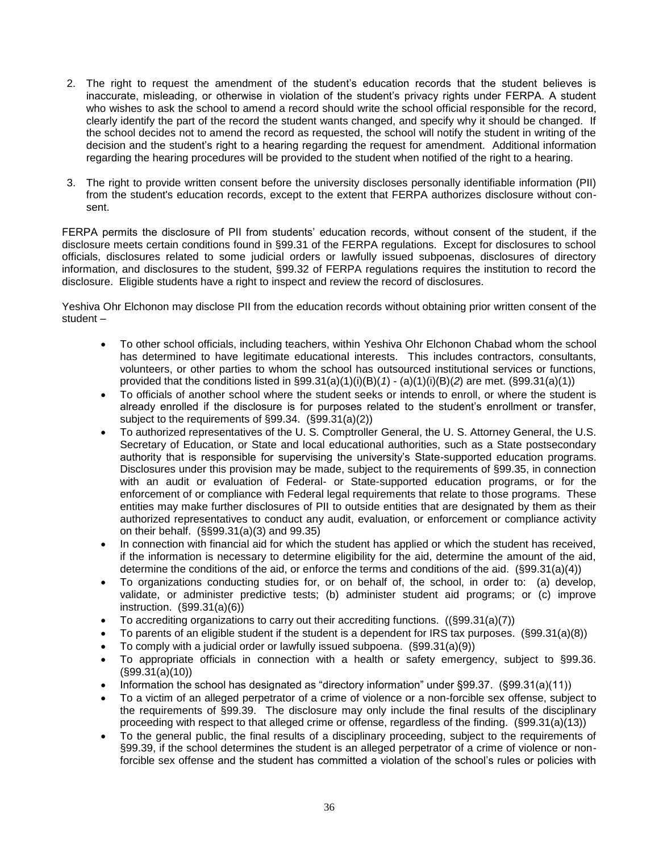- 2. The right to request the amendment of the student's education records that the student believes is inaccurate, misleading, or otherwise in violation of the student's privacy rights under FERPA. A student who wishes to ask the school to amend a record should write the school official responsible for the record, clearly identify the part of the record the student wants changed, and specify why it should be changed. If the school decides not to amend the record as requested, the school will notify the student in writing of the decision and the student's right to a hearing regarding the request for amendment. Additional information regarding the hearing procedures will be provided to the student when notified of the right to a hearing.
- 3. The right to provide written consent before the university discloses personally identifiable information (PII) from the student's education records, except to the extent that FERPA authorizes disclosure without consent.

FERPA permits the disclosure of PII from students' education records, without consent of the student, if the disclosure meets certain conditions found in §99.31 of the FERPA regulations. Except for disclosures to school officials, disclosures related to some judicial orders or lawfully issued subpoenas, disclosures of directory information, and disclosures to the student, §99.32 of FERPA regulations requires the institution to record the disclosure. Eligible students have a right to inspect and review the record of disclosures.

Yeshiva Ohr Elchonon may disclose PII from the education records without obtaining prior written consent of the student –

- To other school officials, including teachers, within Yeshiva Ohr Elchonon Chabad whom the school has determined to have legitimate educational interests. This includes contractors, consultants, volunteers, or other parties to whom the school has outsourced institutional services or functions, provided that the conditions listed in §99.31(a)(1)(i)(B)(*1*) - (a)(1)(i)(B)(*2*) are met. (§99.31(a)(1))
- To officials of another school where the student seeks or intends to enroll, or where the student is already enrolled if the disclosure is for purposes related to the student's enrollment or transfer, subject to the requirements of §99.34. (§99.31(a)(2))
- To authorized representatives of the U. S. Comptroller General, the U. S. Attorney General, the U.S. Secretary of Education, or State and local educational authorities, such as a State postsecondary authority that is responsible for supervising the university's State-supported education programs. Disclosures under this provision may be made, subject to the requirements of §99.35, in connection with an audit or evaluation of Federal- or State-supported education programs, or for the enforcement of or compliance with Federal legal requirements that relate to those programs. These entities may make further disclosures of PII to outside entities that are designated by them as their authorized representatives to conduct any audit, evaluation, or enforcement or compliance activity on their behalf. (§§99.31(a)(3) and 99.35)
- In connection with financial aid for which the student has applied or which the student has received, if the information is necessary to determine eligibility for the aid, determine the amount of the aid, determine the conditions of the aid, or enforce the terms and conditions of the aid. (§99.31(a)(4))
- To organizations conducting studies for, or on behalf of, the school, in order to: (a) develop, validate, or administer predictive tests; (b) administer student aid programs; or (c) improve instruction. (§99.31(a)(6))
- To accrediting organizations to carry out their accrediting functions.  $((\S 99.31(a)(7)))$
- To parents of an eligible student if the student is a dependent for IRS tax purposes. (§99.31(a)(8))
- To comply with a judicial order or lawfully issued subpoena. (§99.31(a)(9))
- To appropriate officials in connection with a health or safety emergency, subject to §99.36. (§99.31(a)(10))
- Information the school has designated as "directory information" under §99.37. (§99.31(a)(11))
- To a victim of an alleged perpetrator of a crime of violence or a non-forcible sex offense, subject to the requirements of §99.39. The disclosure may only include the final results of the disciplinary proceeding with respect to that alleged crime or offense, regardless of the finding. (§99.31(a)(13))
- To the general public, the final results of a disciplinary proceeding, subject to the requirements of §99.39, if the school determines the student is an alleged perpetrator of a crime of violence or nonforcible sex offense and the student has committed a violation of the school's rules or policies with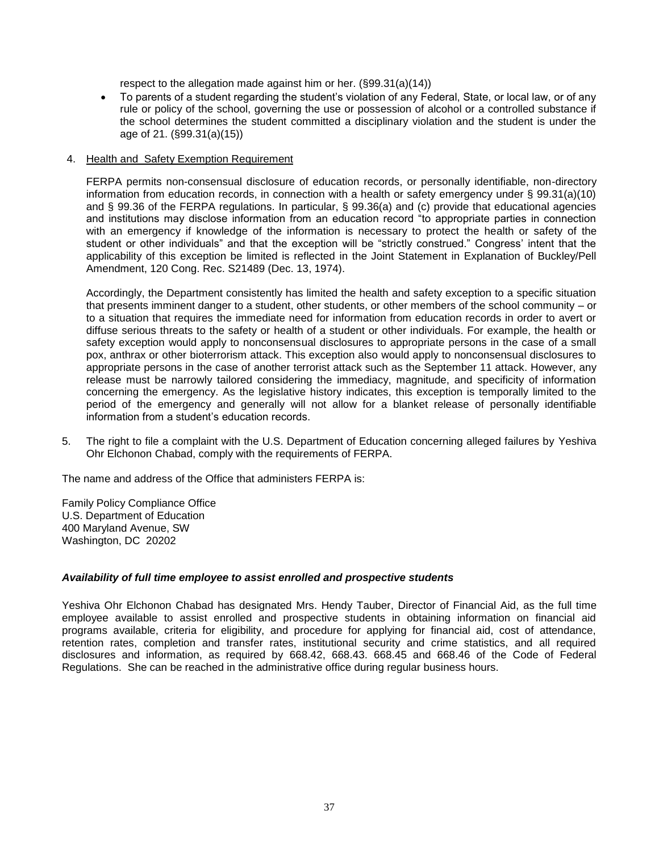respect to the allegation made against him or her. (§99.31(a)(14))

 To parents of a student regarding the student's violation of any Federal, State, or local law, or of any rule or policy of the school, governing the use or possession of alcohol or a controlled substance if the school determines the student committed a disciplinary violation and the student is under the age of 21. (§99.31(a)(15))

# 4. Health and Safety Exemption Requirement

FERPA permits non-consensual disclosure of education records, or personally identifiable, non-directory information from education records, in connection with a health or safety emergency under § 99.31(a)(10) and § 99.36 of the FERPA regulations. In particular, § 99.36(a) and (c) provide that educational agencies and institutions may disclose information from an education record "to appropriate parties in connection with an emergency if knowledge of the information is necessary to protect the health or safety of the student or other individuals" and that the exception will be "strictly construed." Congress' intent that the applicability of this exception be limited is reflected in the Joint Statement in Explanation of Buckley/Pell Amendment, 120 Cong. Rec. S21489 (Dec. 13, 1974).

Accordingly, the Department consistently has limited the health and safety exception to a specific situation that presents imminent danger to a student, other students, or other members of the school community – or to a situation that requires the immediate need for information from education records in order to avert or diffuse serious threats to the safety or health of a student or other individuals. For example, the health or safety exception would apply to nonconsensual disclosures to appropriate persons in the case of a small pox, anthrax or other bioterrorism attack. This exception also would apply to nonconsensual disclosures to appropriate persons in the case of another terrorist attack such as the September 11 attack. However, any release must be narrowly tailored considering the immediacy, magnitude, and specificity of information concerning the emergency. As the legislative history indicates, this exception is temporally limited to the period of the emergency and generally will not allow for a blanket release of personally identifiable information from a student's education records.

5. The right to file a complaint with the U.S. Department of Education concerning alleged failures by Yeshiva Ohr Elchonon Chabad, comply with the requirements of FERPA.

The name and address of the Office that administers FERPA is:

Family Policy Compliance Office U.S. Department of Education 400 Maryland Avenue, SW Washington, DC 20202

# <span id="page-36-0"></span>*Availability of full time employee to assist enrolled and prospective students*

Yeshiva Ohr Elchonon Chabad has designated Mrs. Hendy Tauber, Director of Financial Aid, as the full time employee available to assist enrolled and prospective students in obtaining information on financial aid programs available, criteria for eligibility, and procedure for applying for financial aid, cost of attendance, retention rates, completion and transfer rates, institutional security and crime statistics, and all required disclosures and information, as required by 668.42, 668.43. 668.45 and 668.46 of the Code of Federal Regulations. She can be reached in the administrative office during regular business hours.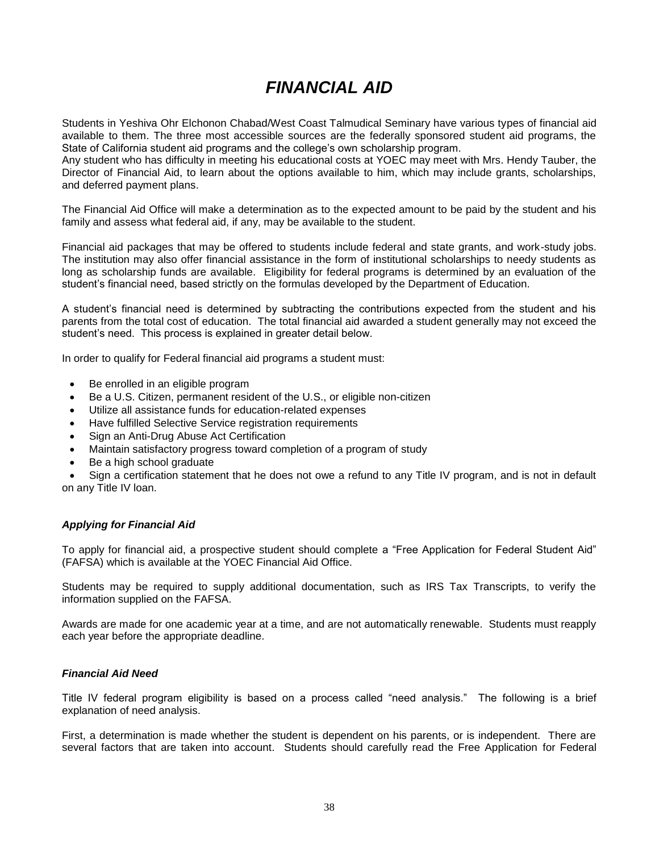# *FINANCIAL AID*

<span id="page-37-0"></span>Students in Yeshiva Ohr Elchonon Chabad/West Coast Talmudical Seminary have various types of financial aid available to them. The three most accessible sources are the federally sponsored student aid programs, the State of California student aid programs and the college's own scholarship program.

Any student who has difficulty in meeting his educational costs at YOEC may meet with Mrs. Hendy Tauber, the Director of Financial Aid, to learn about the options available to him, which may include grants, scholarships, and deferred payment plans.

The Financial Aid Office will make a determination as to the expected amount to be paid by the student and his family and assess what federal aid, if any, may be available to the student.

Financial aid packages that may be offered to students include federal and state grants, and work-study jobs. The institution may also offer financial assistance in the form of institutional scholarships to needy students as long as scholarship funds are available. Eligibility for federal programs is determined by an evaluation of the student's financial need, based strictly on the formulas developed by the Department of Education.

A student's financial need is determined by subtracting the contributions expected from the student and his parents from the total cost of education. The total financial aid awarded a student generally may not exceed the student's need. This process is explained in greater detail below.

In order to qualify for Federal financial aid programs a student must:

- Be enrolled in an eligible program
- Be a U.S. Citizen, permanent resident of the U.S., or eligible non-citizen
- Utilize all assistance funds for education-related expenses
- Have fulfilled Selective Service registration requirements
- Sign an Anti-Drug Abuse Act Certification
- Maintain satisfactory progress toward completion of a program of study
- Be a high school graduate

 Sign a certification statement that he does not owe a refund to any Title IV program, and is not in default on any Title IV loan.

# <span id="page-37-1"></span>*Applying for Financial Aid*

To apply for financial aid, a prospective student should complete a "Free Application for Federal Student Aid" (FAFSA) which is available at the YOEC Financial Aid Office.

Students may be required to supply additional documentation, such as IRS Tax Transcripts, to verify the information supplied on the FAFSA.

Awards are made for one academic year at a time, and are not automatically renewable. Students must reapply each year before the appropriate deadline.

# <span id="page-37-2"></span>*Financial Aid Need*

Title IV federal program eligibility is based on a process called "need analysis." The following is a brief explanation of need analysis.

First, a determination is made whether the student is dependent on his parents, or is independent. There are several factors that are taken into account. Students should carefully read the Free Application for Federal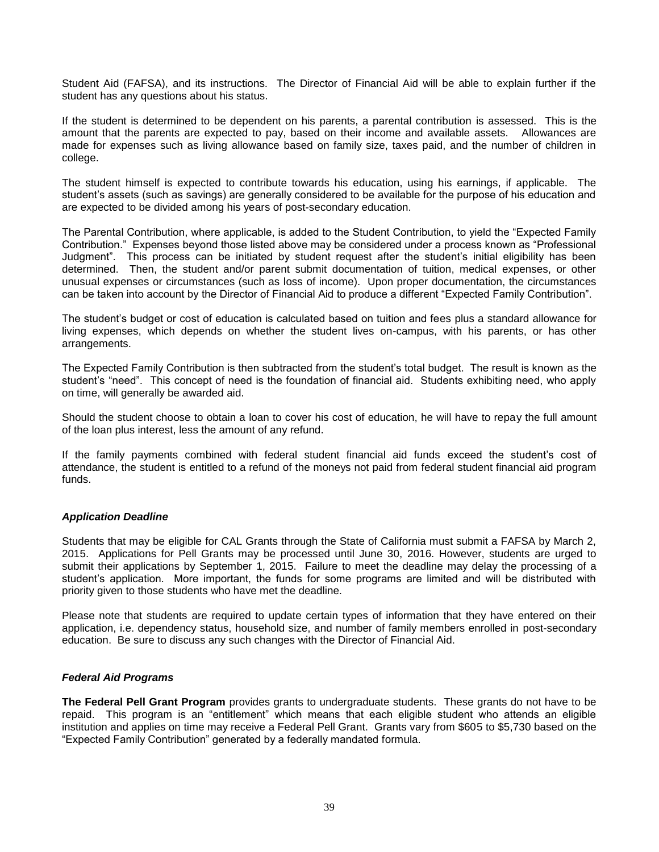Student Aid (FAFSA), and its instructions. The Director of Financial Aid will be able to explain further if the student has any questions about his status.

If the student is determined to be dependent on his parents, a parental contribution is assessed. This is the amount that the parents are expected to pay, based on their income and available assets. Allowances are made for expenses such as living allowance based on family size, taxes paid, and the number of children in college.

The student himself is expected to contribute towards his education, using his earnings, if applicable. The student's assets (such as savings) are generally considered to be available for the purpose of his education and are expected to be divided among his years of post-secondary education.

The Parental Contribution, where applicable, is added to the Student Contribution, to yield the "Expected Family Contribution." Expenses beyond those listed above may be considered under a process known as "Professional Judgment". This process can be initiated by student request after the student's initial eligibility has been determined. Then, the student and/or parent submit documentation of tuition, medical expenses, or other unusual expenses or circumstances (such as loss of income). Upon proper documentation, the circumstances can be taken into account by the Director of Financial Aid to produce a different "Expected Family Contribution".

The student's budget or cost of education is calculated based on tuition and fees plus a standard allowance for living expenses, which depends on whether the student lives on-campus, with his parents, or has other arrangements.

The Expected Family Contribution is then subtracted from the student's total budget. The result is known as the student's "need". This concept of need is the foundation of financial aid. Students exhibiting need, who apply on time, will generally be awarded aid.

Should the student choose to obtain a loan to cover his cost of education, he will have to repay the full amount of the loan plus interest, less the amount of any refund.

If the family payments combined with federal student financial aid funds exceed the student's cost of attendance, the student is entitled to a refund of the moneys not paid from federal student financial aid program funds.

# <span id="page-38-0"></span>*Application Deadline*

Students that may be eligible for CAL Grants through the State of California must submit a FAFSA by March 2, 2015. Applications for Pell Grants may be processed until June 30, 2016. However, students are urged to submit their applications by September 1, 2015. Failure to meet the deadline may delay the processing of a student's application. More important, the funds for some programs are limited and will be distributed with priority given to those students who have met the deadline.

Please note that students are required to update certain types of information that they have entered on their application, i.e. dependency status, household size, and number of family members enrolled in post-secondary education. Be sure to discuss any such changes with the Director of Financial Aid.

# <span id="page-38-1"></span>*Federal Aid Programs*

**The Federal Pell Grant Program** provides grants to undergraduate students. These grants do not have to be repaid. This program is an "entitlement" which means that each eligible student who attends an eligible institution and applies on time may receive a Federal Pell Grant. Grants vary from \$605 to \$5,730 based on the "Expected Family Contribution" generated by a federally mandated formula.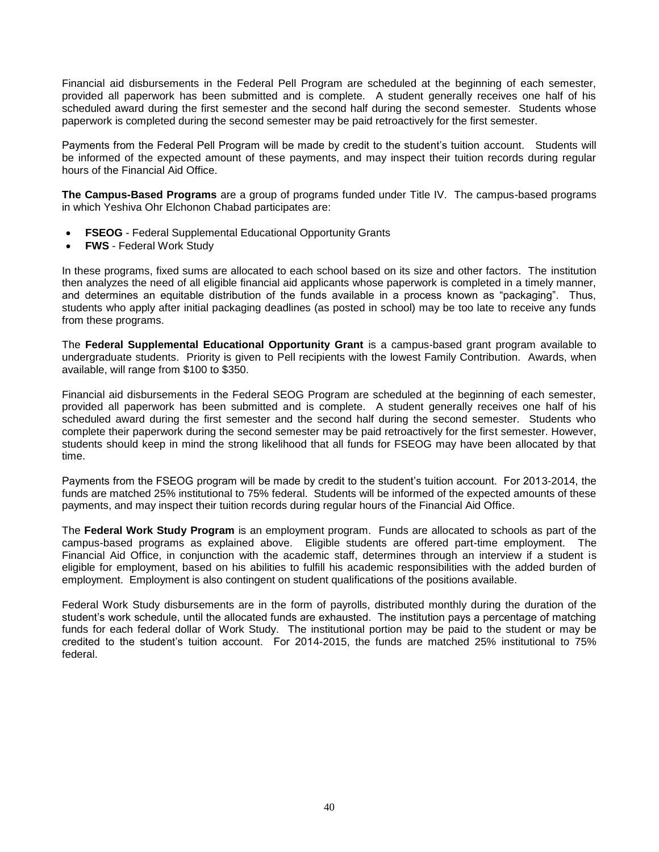Financial aid disbursements in the Federal Pell Program are scheduled at the beginning of each semester, provided all paperwork has been submitted and is complete. A student generally receives one half of his scheduled award during the first semester and the second half during the second semester. Students whose paperwork is completed during the second semester may be paid retroactively for the first semester.

Payments from the Federal Pell Program will be made by credit to the student's tuition account. Students will be informed of the expected amount of these payments, and may inspect their tuition records during regular hours of the Financial Aid Office.

**The Campus-Based Programs** are a group of programs funded under Title IV. The campus-based programs in which Yeshiva Ohr Elchonon Chabad participates are:

- **FSEOG** Federal Supplemental Educational Opportunity Grants
- **FWS** Federal Work Study

In these programs, fixed sums are allocated to each school based on its size and other factors. The institution then analyzes the need of all eligible financial aid applicants whose paperwork is completed in a timely manner, and determines an equitable distribution of the funds available in a process known as "packaging". Thus, students who apply after initial packaging deadlines (as posted in school) may be too late to receive any funds from these programs.

The **Federal Supplemental Educational Opportunity Grant** is a campus-based grant program available to undergraduate students. Priority is given to Pell recipients with the lowest Family Contribution. Awards, when available, will range from \$100 to \$350.

Financial aid disbursements in the Federal SEOG Program are scheduled at the beginning of each semester, provided all paperwork has been submitted and is complete. A student generally receives one half of his scheduled award during the first semester and the second half during the second semester. Students who complete their paperwork during the second semester may be paid retroactively for the first semester. However, students should keep in mind the strong likelihood that all funds for FSEOG may have been allocated by that time.

Payments from the FSEOG program will be made by credit to the student's tuition account. For 2013-2014, the funds are matched 25% institutional to 75% federal. Students will be informed of the expected amounts of these payments, and may inspect their tuition records during regular hours of the Financial Aid Office.

The **Federal Work Study Program** is an employment program. Funds are allocated to schools as part of the campus-based programs as explained above. Eligible students are offered part-time employment. The Financial Aid Office, in conjunction with the academic staff, determines through an interview if a student is eligible for employment, based on his abilities to fulfill his academic responsibilities with the added burden of employment. Employment is also contingent on student qualifications of the positions available.

Federal Work Study disbursements are in the form of payrolls, distributed monthly during the duration of the student's work schedule, until the allocated funds are exhausted. The institution pays a percentage of matching funds for each federal dollar of Work Study. The institutional portion may be paid to the student or may be credited to the student's tuition account. For 2014-2015, the funds are matched 25% institutional to 75% federal.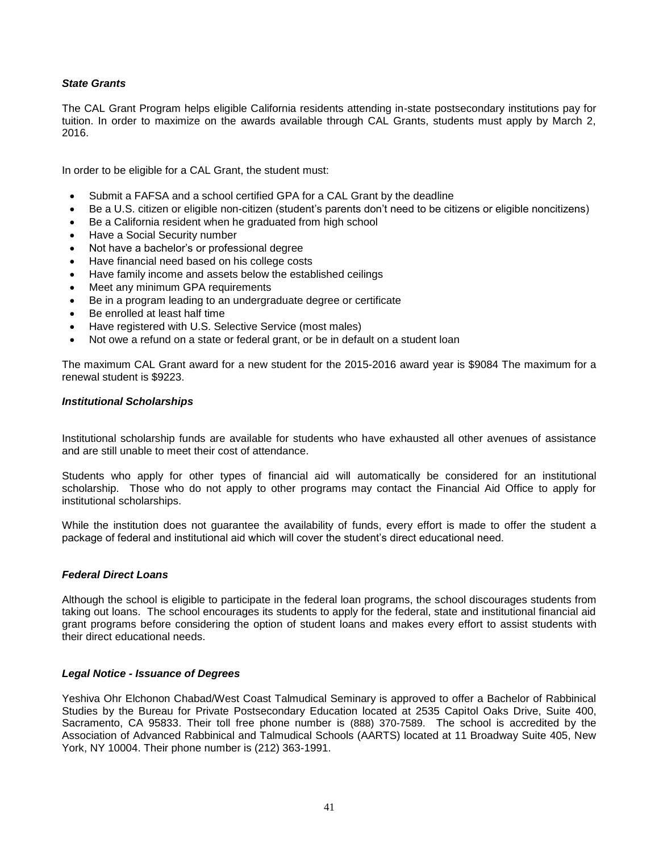# <span id="page-40-0"></span>*State Grants*

The CAL Grant Program helps eligible California residents attending in-state postsecondary institutions pay for tuition. In order to maximize on the awards available through CAL Grants, students must apply by March 2, 2016.

In order to be eligible for a CAL Grant, the student must:

- Submit a FAFSA and a school certified GPA for a CAL Grant by the deadline
- Be a U.S. citizen or eligible non-citizen (student's parents don't need to be citizens or eligible noncitizens)
- Be a California resident when he graduated from high school
- Have a Social Security number
- Not have a bachelor's or professional degree
- Have financial need based on his college costs
- Have family income and assets below the established ceilings
- Meet any minimum GPA requirements
- Be in a program leading to an undergraduate degree or certificate
- Be enrolled at least half time
- Have registered with U.S. Selective Service (most males)
- Not owe a refund on a state or federal grant, or be in default on a student loan

The maximum CAL Grant award for a new student for the 2015-2016 award year is \$9084 The maximum for a renewal student is \$9223.

#### <span id="page-40-1"></span>*Institutional Scholarships*

Institutional scholarship funds are available for students who have exhausted all other avenues of assistance and are still unable to meet their cost of attendance.

Students who apply for other types of financial aid will automatically be considered for an institutional scholarship. Those who do not apply to other programs may contact the Financial Aid Office to apply for institutional scholarships.

While the institution does not guarantee the availability of funds, every effort is made to offer the student a package of federal and institutional aid which will cover the student's direct educational need.

#### <span id="page-40-2"></span>*Federal Direct Loans*

Although the school is eligible to participate in the federal loan programs, the school discourages students from taking out loans. The school encourages its students to apply for the federal, state and institutional financial aid grant programs before considering the option of student loans and makes every effort to assist students with their direct educational needs.

#### <span id="page-40-3"></span>*Legal Notice - Issuance of Degrees*

Yeshiva Ohr Elchonon Chabad/West Coast Talmudical Seminary is approved to offer a Bachelor of Rabbinical Studies by the Bureau for Private Postsecondary Education located at 2535 Capitol Oaks Drive, Suite 400, Sacramento, CA 95833. Their toll free phone number is (888) 370-7589. The school is accredited by the Association of Advanced Rabbinical and Talmudical Schools (AARTS) located at 11 Broadway Suite 405, New York, NY 10004. Their phone number is (212) 363-1991.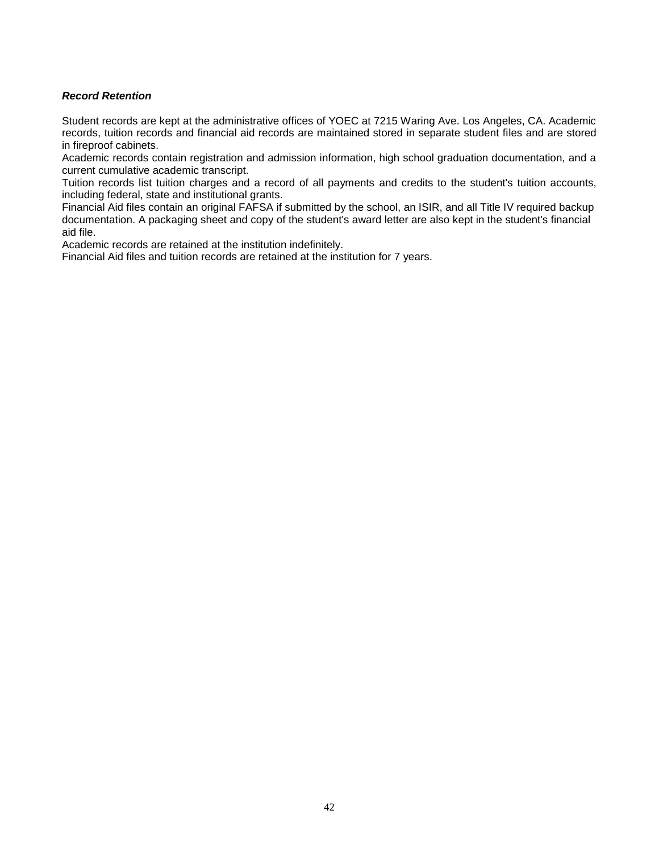# <span id="page-41-0"></span>*Record Retention*

Student records are kept at the administrative offices of YOEC at 7215 Waring Ave. Los Angeles, CA. Academic records, tuition records and financial aid records are maintained stored in separate student files and are stored in fireproof cabinets.

Academic records contain registration and admission information, high school graduation documentation, and a current cumulative academic transcript.

Tuition records list tuition charges and a record of all payments and credits to the student's tuition accounts, including federal, state and institutional grants.

Financial Aid files contain an original FAFSA if submitted by the school, an ISIR, and all Title IV required backup documentation. A packaging sheet and copy of the student's award letter are also kept in the student's financial aid file.

Academic records are retained at the institution indefinitely.

Financial Aid files and tuition records are retained at the institution for 7 years.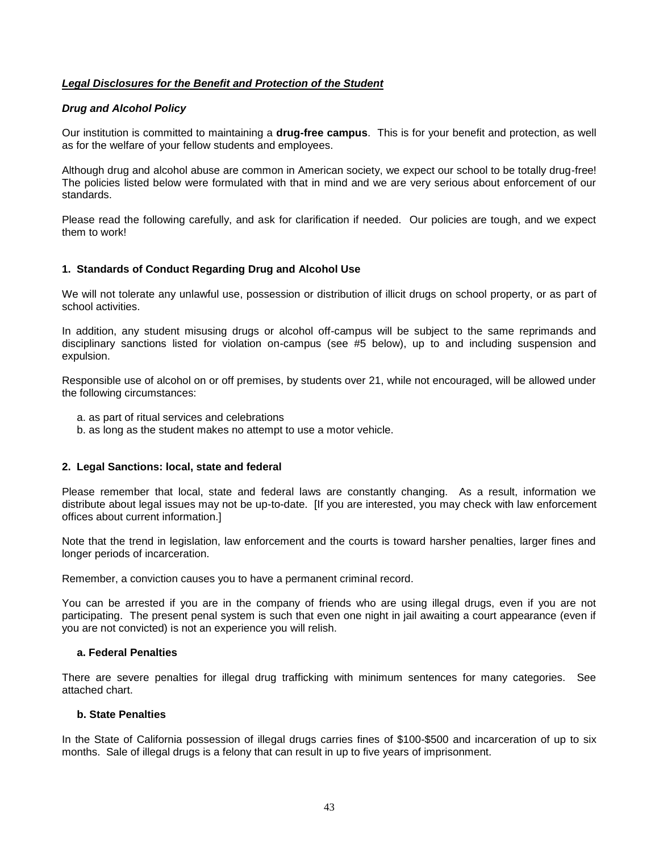# *Legal Disclosures for the Benefit and Protection of the Student*

# <span id="page-42-0"></span>*Drug and Alcohol Policy*

Our institution is committed to maintaining a **drug-free campus**. This is for your benefit and protection, as well as for the welfare of your fellow students and employees.

Although drug and alcohol abuse are common in American society, we expect our school to be totally drug-free! The policies listed below were formulated with that in mind and we are very serious about enforcement of our standards.

Please read the following carefully, and ask for clarification if needed. Our policies are tough, and we expect them to work!

# **1. Standards of Conduct Regarding Drug and Alcohol Use**

We will not tolerate any unlawful use, possession or distribution of illicit drugs on school property, or as part of school activities.

In addition, any student misusing drugs or alcohol off-campus will be subject to the same reprimands and disciplinary sanctions listed for violation on-campus (see #5 below), up to and including suspension and expulsion.

Responsible use of alcohol on or off premises, by students over 21, while not encouraged, will be allowed under the following circumstances:

- a. as part of ritual services and celebrations
- b. as long as the student makes no attempt to use a motor vehicle.

# **2. Legal Sanctions: local, state and federal**

Please remember that local, state and federal laws are constantly changing. As a result, information we distribute about legal issues may not be up-to-date. [If you are interested, you may check with law enforcement offices about current information.]

Note that the trend in legislation, law enforcement and the courts is toward harsher penalties, larger fines and longer periods of incarceration.

Remember, a conviction causes you to have a permanent criminal record.

You can be arrested if you are in the company of friends who are using illegal drugs, even if you are not participating. The present penal system is such that even one night in jail awaiting a court appearance (even if you are not convicted) is not an experience you will relish.

# **a. Federal Penalties**

There are severe penalties for illegal drug trafficking with minimum sentences for many categories. See attached chart.

# **b. State Penalties**

In the State of California possession of illegal drugs carries fines of \$100-\$500 and incarceration of up to six months. Sale of illegal drugs is a felony that can result in up to five years of imprisonment.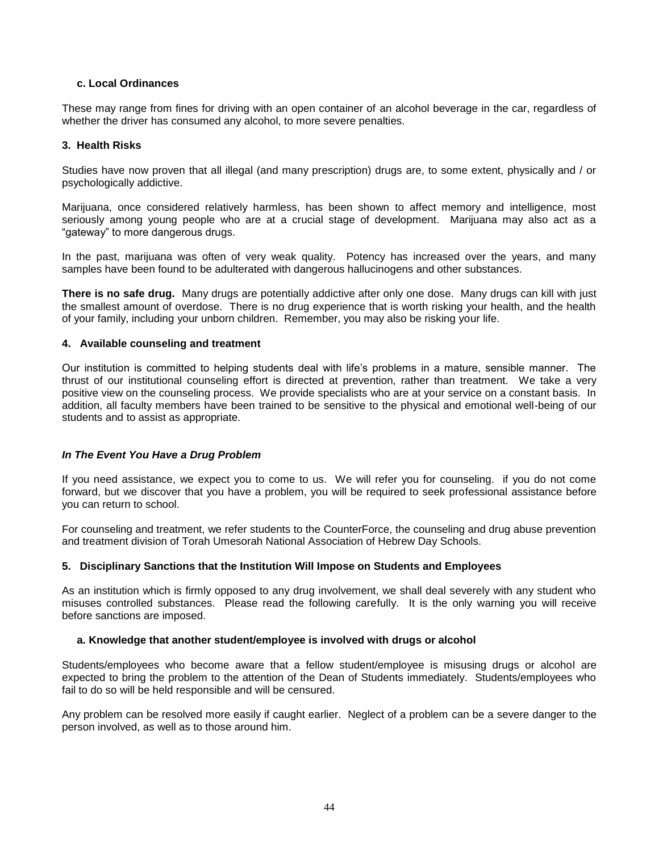# **c. Local Ordinances**

These may range from fines for driving with an open container of an alcohol beverage in the car, regardless of whether the driver has consumed any alcohol, to more severe penalties.

# **3. Health Risks**

Studies have now proven that all illegal (and many prescription) drugs are, to some extent, physically and / or psychologically addictive.

Marijuana, once considered relatively harmless, has been shown to affect memory and intelligence, most seriously among young people who are at a crucial stage of development. Marijuana may also act as a "gateway" to more dangerous drugs.

In the past, marijuana was often of very weak quality. Potency has increased over the years, and many samples have been found to be adulterated with dangerous hallucinogens and other substances.

**There is no safe drug.** Many drugs are potentially addictive after only one dose. Many drugs can kill with just the smallest amount of overdose. There is no drug experience that is worth risking your health, and the health of your family, including your unborn children. Remember, you may also be risking your life.

# **4. Available counseling and treatment**

Our institution is committed to helping students deal with life's problems in a mature, sensible manner. The thrust of our institutional counseling effort is directed at prevention, rather than treatment. We take a very positive view on the counseling process. We provide specialists who are at your service on a constant basis. In addition, all faculty members have been trained to be sensitive to the physical and emotional well-being of our students and to assist as appropriate.

# *In The Event You Have a Drug Problem*

If you need assistance, we expect you to come to us. We will refer you for counseling. if you do not come forward, but we discover that you have a problem, you will be required to seek professional assistance before you can return to school.

For counseling and treatment, we refer students to the CounterForce, the counseling and drug abuse prevention and treatment division of Torah Umesorah National Association of Hebrew Day Schools.

# **5. Disciplinary Sanctions that the Institution Will Impose on Students and Employees**

As an institution which is firmly opposed to any drug involvement, we shall deal severely with any student who misuses controlled substances. Please read the following carefully. It is the only warning you will receive before sanctions are imposed.

# **a. Knowledge that another student/employee is involved with drugs or alcohol**

Students/employees who become aware that a fellow student/employee is misusing drugs or alcohol are expected to bring the problem to the attention of the Dean of Students immediately. Students/employees who fail to do so will be held responsible and will be censured.

Any problem can be resolved more easily if caught earlier. Neglect of a problem can be a severe danger to the person involved, as well as to those around him.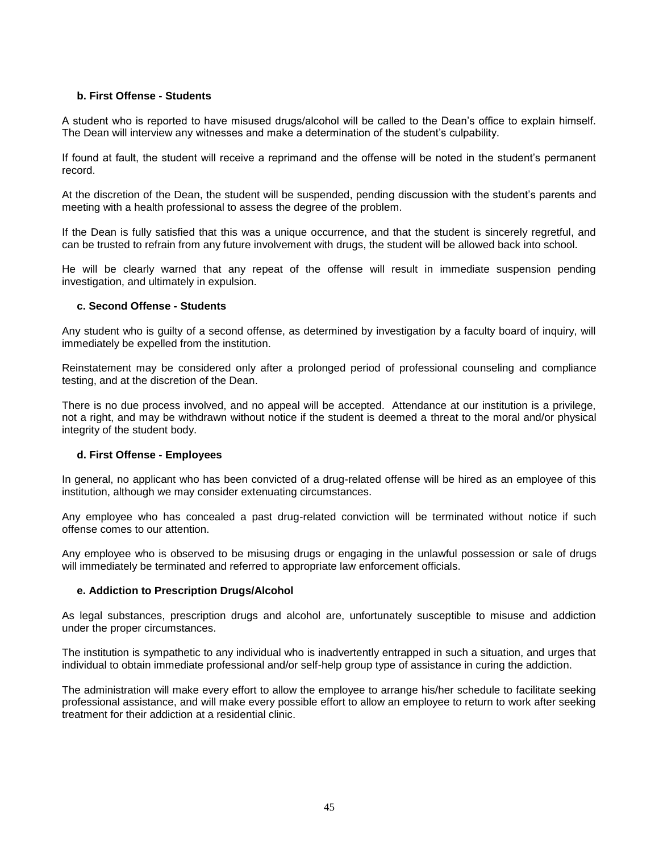# **b. First Offense - Students**

A student who is reported to have misused drugs/alcohol will be called to the Dean's office to explain himself. The Dean will interview any witnesses and make a determination of the student's culpability.

If found at fault, the student will receive a reprimand and the offense will be noted in the student's permanent record.

At the discretion of the Dean, the student will be suspended, pending discussion with the student's parents and meeting with a health professional to assess the degree of the problem.

If the Dean is fully satisfied that this was a unique occurrence, and that the student is sincerely regretful, and can be trusted to refrain from any future involvement with drugs, the student will be allowed back into school.

He will be clearly warned that any repeat of the offense will result in immediate suspension pending investigation, and ultimately in expulsion.

# **c. Second Offense - Students**

Any student who is guilty of a second offense, as determined by investigation by a faculty board of inquiry, will immediately be expelled from the institution.

Reinstatement may be considered only after a prolonged period of professional counseling and compliance testing, and at the discretion of the Dean.

There is no due process involved, and no appeal will be accepted. Attendance at our institution is a privilege, not a right, and may be withdrawn without notice if the student is deemed a threat to the moral and/or physical integrity of the student body.

# **d. First Offense - Employees**

In general, no applicant who has been convicted of a drug-related offense will be hired as an employee of this institution, although we may consider extenuating circumstances.

Any employee who has concealed a past drug-related conviction will be terminated without notice if such offense comes to our attention.

Any employee who is observed to be misusing drugs or engaging in the unlawful possession or sale of drugs will immediately be terminated and referred to appropriate law enforcement officials.

# **e. Addiction to Prescription Drugs/Alcohol**

As legal substances, prescription drugs and alcohol are, unfortunately susceptible to misuse and addiction under the proper circumstances.

The institution is sympathetic to any individual who is inadvertently entrapped in such a situation, and urges that individual to obtain immediate professional and/or self-help group type of assistance in curing the addiction.

The administration will make every effort to allow the employee to arrange his/her schedule to facilitate seeking professional assistance, and will make every possible effort to allow an employee to return to work after seeking treatment for their addiction at a residential clinic.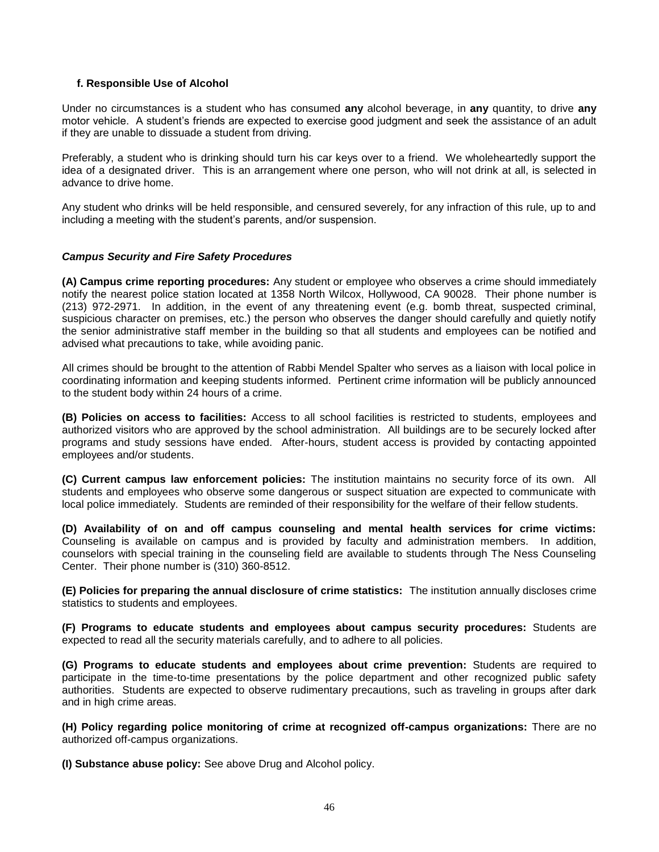# **f. Responsible Use of Alcohol**

Under no circumstances is a student who has consumed **any** alcohol beverage, in **any** quantity, to drive **any** motor vehicle. A student's friends are expected to exercise good judgment and seek the assistance of an adult if they are unable to dissuade a student from driving.

Preferably, a student who is drinking should turn his car keys over to a friend. We wholeheartedly support the idea of a designated driver. This is an arrangement where one person, who will not drink at all, is selected in advance to drive home.

Any student who drinks will be held responsible, and censured severely, for any infraction of this rule, up to and including a meeting with the student's parents, and/or suspension.

# <span id="page-45-0"></span>*Campus Security and Fire Safety Procedures*

**(A) Campus crime reporting procedures:** Any student or employee who observes a crime should immediately notify the nearest police station located at 1358 North Wilcox, Hollywood, CA 90028. Their phone number is (213) 972-2971. In addition, in the event of any threatening event (e.g. bomb threat, suspected criminal, suspicious character on premises, etc.) the person who observes the danger should carefully and quietly notify the senior administrative staff member in the building so that all students and employees can be notified and advised what precautions to take, while avoiding panic.

All crimes should be brought to the attention of Rabbi Mendel Spalter who serves as a liaison with local police in coordinating information and keeping students informed. Pertinent crime information will be publicly announced to the student body within 24 hours of a crime.

**(B) Policies on access to facilities:** Access to all school facilities is restricted to students, employees and authorized visitors who are approved by the school administration. All buildings are to be securely locked after programs and study sessions have ended. After-hours, student access is provided by contacting appointed employees and/or students.

**(C) Current campus law enforcement policies:** The institution maintains no security force of its own. All students and employees who observe some dangerous or suspect situation are expected to communicate with local police immediately. Students are reminded of their responsibility for the welfare of their fellow students.

**(D) Availability of on and off campus counseling and mental health services for crime victims:** Counseling is available on campus and is provided by faculty and administration members. In addition, counselors with special training in the counseling field are available to students through The Ness Counseling Center. Their phone number is (310) 360-8512.

**(E) Policies for preparing the annual disclosure of crime statistics:** The institution annually discloses crime statistics to students and employees.

**(F) Programs to educate students and employees about campus security procedures:** Students are expected to read all the security materials carefully, and to adhere to all policies.

**(G) Programs to educate students and employees about crime prevention:** Students are required to participate in the time-to-time presentations by the police department and other recognized public safety authorities. Students are expected to observe rudimentary precautions, such as traveling in groups after dark and in high crime areas.

**(H) Policy regarding police monitoring of crime at recognized off-campus organizations:** There are no authorized off-campus organizations.

**(I) Substance abuse policy:** See above Drug and Alcohol policy.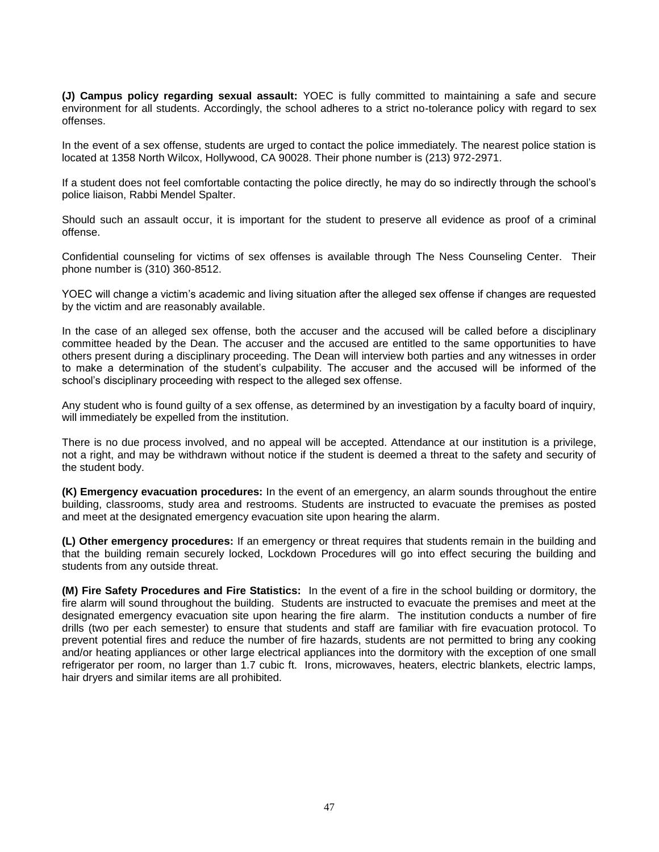**(J) Campus policy regarding sexual assault:** YOEC is fully committed to maintaining a safe and secure environment for all students. Accordingly, the school adheres to a strict no-tolerance policy with regard to sex offenses.

In the event of a sex offense, students are urged to contact the police immediately. The nearest police station is located at 1358 North Wilcox, Hollywood, CA 90028. Their phone number is (213) 972-2971.

If a student does not feel comfortable contacting the police directly, he may do so indirectly through the school's police liaison, Rabbi Mendel Spalter.

Should such an assault occur, it is important for the student to preserve all evidence as proof of a criminal offense.

Confidential counseling for victims of sex offenses is available through The Ness Counseling Center. Their phone number is (310) 360-8512.

YOEC will change a victim's academic and living situation after the alleged sex offense if changes are requested by the victim and are reasonably available.

In the case of an alleged sex offense, both the accuser and the accused will be called before a disciplinary committee headed by the Dean. The accuser and the accused are entitled to the same opportunities to have others present during a disciplinary proceeding. The Dean will interview both parties and any witnesses in order to make a determination of the student's culpability. The accuser and the accused will be informed of the school's disciplinary proceeding with respect to the alleged sex offense.

Any student who is found guilty of a sex offense, as determined by an investigation by a faculty board of inquiry, will immediately be expelled from the institution.

There is no due process involved, and no appeal will be accepted. Attendance at our institution is a privilege, not a right, and may be withdrawn without notice if the student is deemed a threat to the safety and security of the student body.

**(K) Emergency evacuation procedures:** In the event of an emergency, an alarm sounds throughout the entire building, classrooms, study area and restrooms. Students are instructed to evacuate the premises as posted and meet at the designated emergency evacuation site upon hearing the alarm.

**(L) Other emergency procedures:** If an emergency or threat requires that students remain in the building and that the building remain securely locked, Lockdown Procedures will go into effect securing the building and students from any outside threat.

**(M) Fire Safety Procedures and Fire Statistics:** In the event of a fire in the school building or dormitory, the fire alarm will sound throughout the building. Students are instructed to evacuate the premises and meet at the designated emergency evacuation site upon hearing the fire alarm. The institution conducts a number of fire drills (two per each semester) to ensure that students and staff are familiar with fire evacuation protocol. To prevent potential fires and reduce the number of fire hazards, students are not permitted to bring any cooking and/or heating appliances or other large electrical appliances into the dormitory with the exception of one small refrigerator per room, no larger than 1.7 cubic ft. Irons, microwaves, heaters, electric blankets, electric lamps, hair dryers and similar items are all prohibited.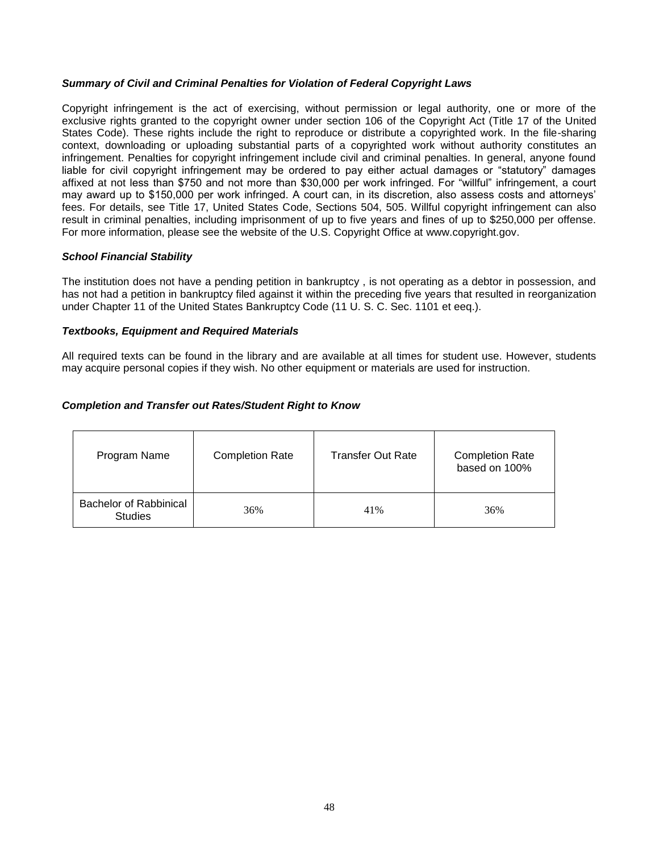# <span id="page-47-0"></span>*Summary of Civil and Criminal Penalties for Violation of Federal Copyright Laws*

Copyright infringement is the act of exercising, without permission or legal authority, one or more of the exclusive rights granted to the copyright owner under section 106 of the Copyright Act (Title 17 of the United States Code). These rights include the right to reproduce or distribute a copyrighted work. In the file-sharing context, downloading or uploading substantial parts of a copyrighted work without authority constitutes an infringement. Penalties for copyright infringement include civil and criminal penalties. In general, anyone found liable for civil copyright infringement may be ordered to pay either actual damages or "statutory" damages affixed at not less than \$750 and not more than \$30,000 per work infringed. For "willful" infringement, a court may award up to \$150,000 per work infringed. A court can, in its discretion, also assess costs and attorneys' fees. For details, see Title 17, United States Code, Sections 504, 505. Willful copyright infringement can also result in criminal penalties, including imprisonment of up to five years and fines of up to \$250,000 per offense. For more information, please see the website of the U.S. Copyright Office at [www.copyright.gov.](http://www.copyright.gov/)

# <span id="page-47-1"></span>*School Financial Stability*

The institution does not have a pending petition in bankruptcy , is not operating as a debtor in possession, and has not had a petition in bankruptcy filed against it within the preceding five years that resulted in reorganization under Chapter 11 of the United States Bankruptcy Code (11 U. S. C. Sec. 1101 et eeq.).

# <span id="page-47-2"></span>*Textbooks, Equipment and Required Materials*

All required texts can be found in the library and are available at all times for student use. However, students may acquire personal copies if they wish. No other equipment or materials are used for instruction.

# <span id="page-47-3"></span>*Completion and Transfer out Rates/Student Right to Know*

| Program Name                                    | <b>Completion Rate</b> | <b>Transfer Out Rate</b> | <b>Completion Rate</b><br>based on 100% |
|-------------------------------------------------|------------------------|--------------------------|-----------------------------------------|
| <b>Bachelor of Rabbinical</b><br><b>Studies</b> | 36%                    | 41%                      | 36%                                     |